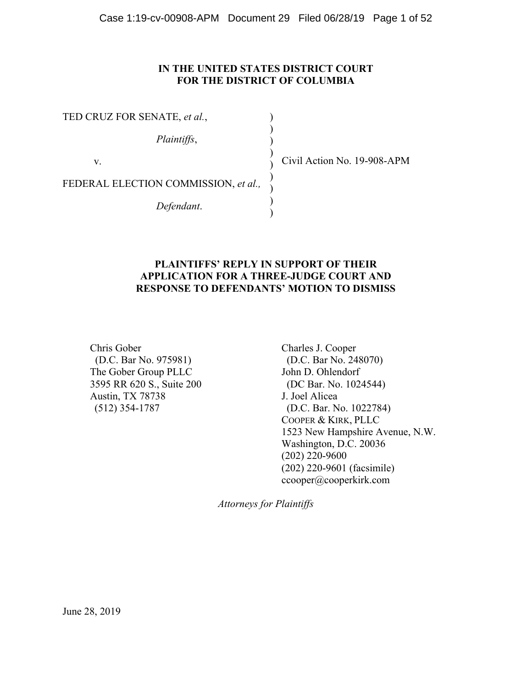## **IN THE UNITED STATES DISTRICT COURT FOR THE DISTRICT OF COLUMBIA**

TED CRUZ FOR SENATE, *et al.*, *Plaintiffs*, v. FEDERAL ELECTION COMMISSION, *et al., Defendant*. ) ) ) ) ) ) ) ) )

Civil Action No. 19-908-APM

## **PLAINTIFFS' REPLY IN SUPPORT OF THEIR APPLICATION FOR A THREE-JUDGE COURT AND RESPONSE TO DEFENDANTS' MOTION TO DISMISS**

Chris Gober (D.C. Bar No. 975981) The Gober Group PLLC 3595 RR 620 S., Suite 200 Austin, TX 78738 (512) 354-1787

Charles J. Cooper (D.C. Bar No. 248070) John D. Ohlendorf (DC Bar. No. 1024544) J. Joel Alicea (D.C. Bar. No. 1022784) COOPER & KIRK, PLLC 1523 New Hampshire Avenue, N.W. Washington, D.C. 20036 (202) 220-9600 (202) 220-9601 (facsimile) ccooper@cooperkirk.com

*Attorneys for Plaintiffs*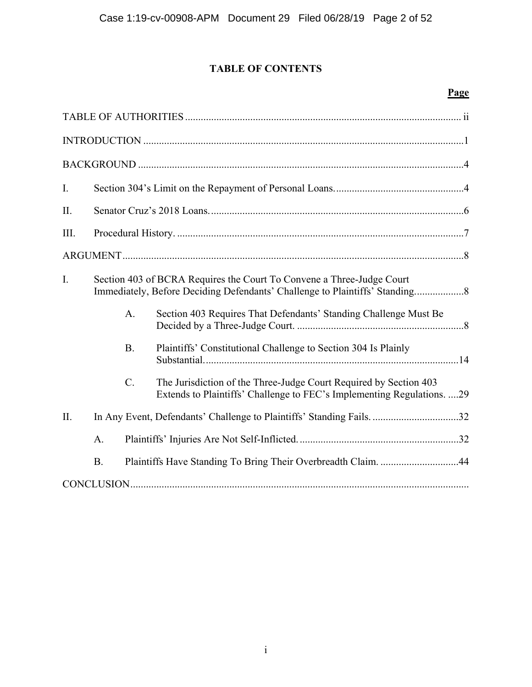# **TABLE OF CONTENTS**

## **Page**

| $\mathbf{I}$ . |                                                                       |                 |                                                                                                                                             |  |  |  |
|----------------|-----------------------------------------------------------------------|-----------------|---------------------------------------------------------------------------------------------------------------------------------------------|--|--|--|
| II.            |                                                                       |                 |                                                                                                                                             |  |  |  |
| III.           |                                                                       |                 |                                                                                                                                             |  |  |  |
|                |                                                                       |                 |                                                                                                                                             |  |  |  |
| $\mathbf{I}$ . | Section 403 of BCRA Requires the Court To Convene a Three-Judge Court |                 |                                                                                                                                             |  |  |  |
|                |                                                                       | $A_{\cdot}$     | Section 403 Requires That Defendants' Standing Challenge Must Be                                                                            |  |  |  |
|                |                                                                       | <b>B.</b>       | Plaintiffs' Constitutional Challenge to Section 304 Is Plainly                                                                              |  |  |  |
|                |                                                                       | $\mathcal{C}$ . | The Jurisdiction of the Three-Judge Court Required by Section 403<br>Extends to Plaintiffs' Challenge to FEC's Implementing Regulations. 29 |  |  |  |
| $\Pi$ .        |                                                                       |                 | In Any Event, Defendants' Challenge to Plaintiffs' Standing Fails. 32                                                                       |  |  |  |
|                | A.                                                                    |                 |                                                                                                                                             |  |  |  |
|                | <b>B.</b>                                                             |                 | Plaintiffs Have Standing To Bring Their Overbreadth Claim. 44                                                                               |  |  |  |
|                |                                                                       |                 |                                                                                                                                             |  |  |  |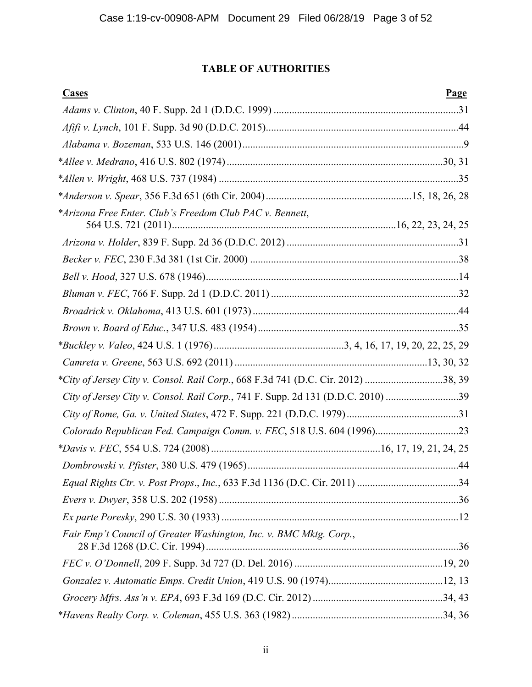## **TABLE OF AUTHORITIES**

| <b>Cases</b>                                                                     | <b>Page</b> |
|----------------------------------------------------------------------------------|-------------|
|                                                                                  |             |
|                                                                                  |             |
|                                                                                  |             |
|                                                                                  |             |
|                                                                                  |             |
|                                                                                  |             |
| *Arizona Free Enter. Club's Freedom Club PAC v. Bennett,                         |             |
|                                                                                  |             |
|                                                                                  |             |
|                                                                                  |             |
|                                                                                  |             |
|                                                                                  |             |
|                                                                                  |             |
|                                                                                  |             |
|                                                                                  |             |
| *City of Jersey City v. Consol. Rail Corp., 668 F.3d 741 (D.C. Cir. 2012) 38, 39 |             |
| City of Jersey City v. Consol. Rail Corp., 741 F. Supp. 2d 131 (D.D.C. 2010) 39  |             |
|                                                                                  |             |
| Colorado Republican Fed. Campaign Comm. v. FEC, 518 U.S. 604 (1996)23            |             |
|                                                                                  |             |
|                                                                                  |             |
|                                                                                  |             |
|                                                                                  |             |
|                                                                                  |             |
| Fair Emp't Council of Greater Washington, Inc. v. BMC Mktg. Corp.,               |             |
|                                                                                  |             |
|                                                                                  |             |
|                                                                                  |             |
|                                                                                  |             |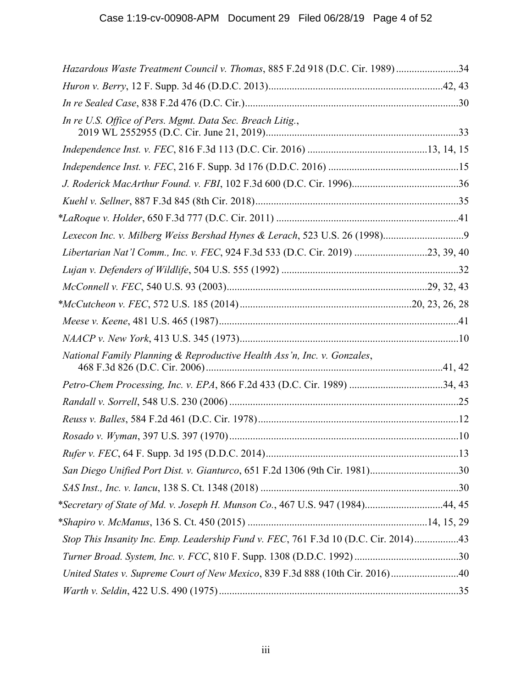| Hazardous Waste Treatment Council v. Thomas, 885 F.2d 918 (D.C. Cir. 1989)34        |  |
|-------------------------------------------------------------------------------------|--|
|                                                                                     |  |
|                                                                                     |  |
| In re U.S. Office of Pers. Mgmt. Data Sec. Breach Litig.,                           |  |
|                                                                                     |  |
|                                                                                     |  |
|                                                                                     |  |
|                                                                                     |  |
|                                                                                     |  |
|                                                                                     |  |
| Libertarian Nat'l Comm., Inc. v. FEC, 924 F.3d 533 (D.C. Cir. 2019) 23, 39, 40      |  |
|                                                                                     |  |
|                                                                                     |  |
|                                                                                     |  |
|                                                                                     |  |
|                                                                                     |  |
| National Family Planning & Reproductive Health Ass'n, Inc. v. Gonzales,             |  |
| Petro-Chem Processing, Inc. v. EPA, 866 F.2d 433 (D.C. Cir. 1989) 34, 43            |  |
|                                                                                     |  |
|                                                                                     |  |
|                                                                                     |  |
|                                                                                     |  |
| San Diego Unified Port Dist. v. Gianturco, 651 F.2d 1306 (9th Cir. 1981)30          |  |
|                                                                                     |  |
| *Secretary of State of Md. v. Joseph H. Munson Co., 467 U.S. 947 (1984)44, 45       |  |
|                                                                                     |  |
| Stop This Insanity Inc. Emp. Leadership Fund v. FEC, 761 F.3d 10 (D.C. Cir. 2014)43 |  |
|                                                                                     |  |
| United States v. Supreme Court of New Mexico, 839 F.3d 888 (10th Cir. 2016)40       |  |
|                                                                                     |  |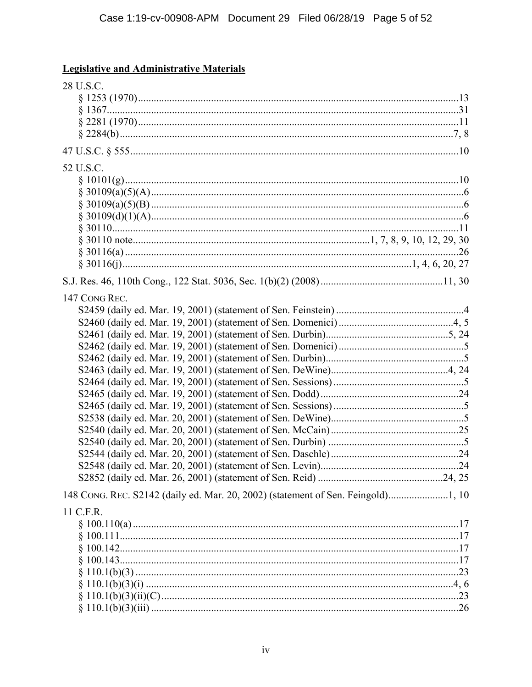## **Legislative and Administrative Materials**

| 28 U.S.C.                                                                        |  |
|----------------------------------------------------------------------------------|--|
|                                                                                  |  |
|                                                                                  |  |
|                                                                                  |  |
|                                                                                  |  |
| 52 U.S.C.                                                                        |  |
|                                                                                  |  |
|                                                                                  |  |
|                                                                                  |  |
|                                                                                  |  |
|                                                                                  |  |
|                                                                                  |  |
|                                                                                  |  |
|                                                                                  |  |
|                                                                                  |  |
| 147 CONG REC.                                                                    |  |
|                                                                                  |  |
|                                                                                  |  |
|                                                                                  |  |
|                                                                                  |  |
|                                                                                  |  |
|                                                                                  |  |
|                                                                                  |  |
|                                                                                  |  |
|                                                                                  |  |
|                                                                                  |  |
|                                                                                  |  |
|                                                                                  |  |
|                                                                                  |  |
| 148 CONG. REC. S2142 (daily ed. Mar. 20, 2002) (statement of Sen. Feingold)1, 10 |  |
| 11 C.F.R.                                                                        |  |
|                                                                                  |  |
|                                                                                  |  |
|                                                                                  |  |
|                                                                                  |  |
|                                                                                  |  |
|                                                                                  |  |
|                                                                                  |  |
|                                                                                  |  |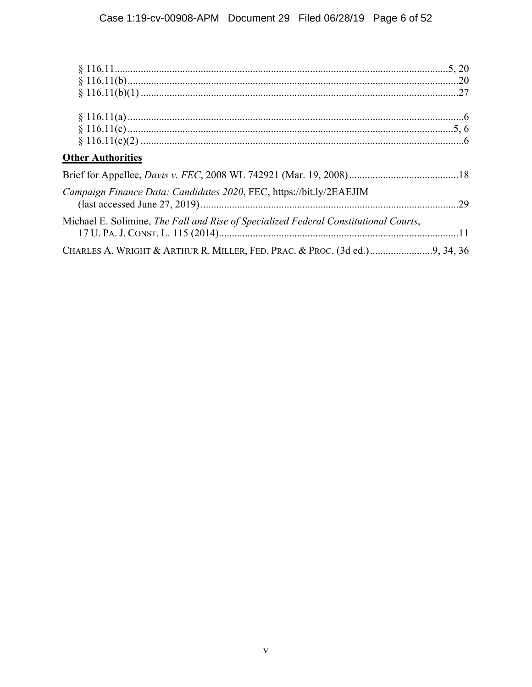| <b>Other Authorities</b>                                                             |  |
|--------------------------------------------------------------------------------------|--|
|                                                                                      |  |
| Campaign Finance Data: Candidates 2020, FEC, https://bit.ly/2EAEJIM                  |  |
| Michael E. Solimine, The Fall and Rise of Specialized Federal Constitutional Courts, |  |
|                                                                                      |  |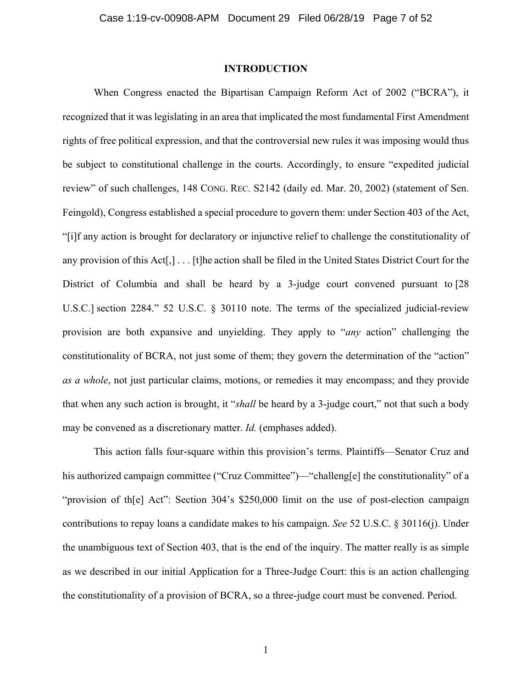#### **INTRODUCTION**

When Congress enacted the Bipartisan Campaign Reform Act of 2002 ("BCRA"), it recognized that it was legislating in an area that implicated the most fundamental First Amendment rights of free political expression, and that the controversial new rules it was imposing would thus be subject to constitutional challenge in the courts. Accordingly, to ensure "expedited judicial review" of such challenges, 148 CONG. REC. S2142 (daily ed. Mar. 20, 2002) (statement of Sen. Feingold), Congress established a special procedure to govern them: under Section 403 of the Act, "[i]f any action is brought for declaratory or injunctive relief to challenge the constitutionality of any provision of this Act[,] . . . [t]he action shall be filed in the United States District Court for the District of Columbia and shall be heard by a 3-judge court convened pursuant to [28] U.S.C.] section 2284." 52 U.S.C. § 30110 note. The terms of the specialized judicial-review provision are both expansive and unyielding. They apply to "*any* action" challenging the constitutionality of BCRA, not just some of them; they govern the determination of the "action" *as a whole*, not just particular claims, motions, or remedies it may encompass; and they provide that when any such action is brought, it "*shall* be heard by a 3-judge court," not that such a body may be convened as a discretionary matter. *Id.* (emphases added).

This action falls four-square within this provision's terms. Plaintiffs—Senator Cruz and his authorized campaign committee ("Cruz Committee")—"challeng[e] the constitutionality" of a "provision of the Act": Section 304's \$250,000 limit on the use of post-election campaign contributions to repay loans a candidate makes to his campaign. *See* 52 U.S.C. § 30116(j). Under the unambiguous text of Section 403, that is the end of the inquiry. The matter really is as simple as we described in our initial Application for a Three-Judge Court: this is an action challenging the constitutionality of a provision of BCRA, so a three-judge court must be convened. Period.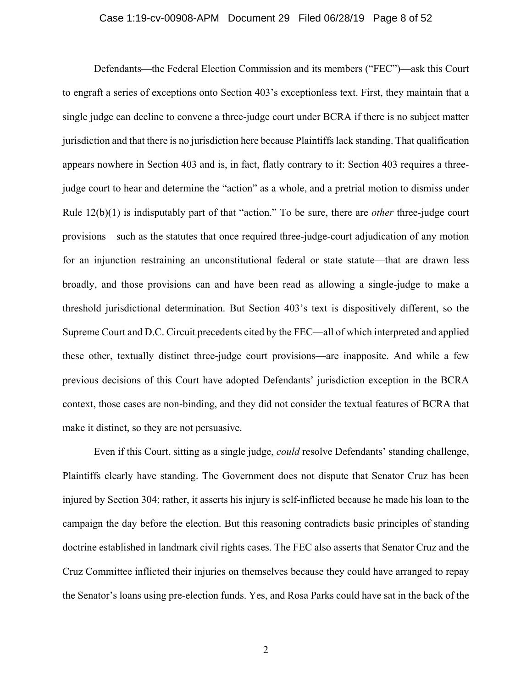#### Case 1:19-cv-00908-APM Document 29 Filed 06/28/19 Page 8 of 52

Defendants—the Federal Election Commission and its members ("FEC")—ask this Court to engraft a series of exceptions onto Section 403's exceptionless text. First, they maintain that a single judge can decline to convene a three-judge court under BCRA if there is no subject matter jurisdiction and that there is no jurisdiction here because Plaintiffs lack standing. That qualification appears nowhere in Section 403 and is, in fact, flatly contrary to it: Section 403 requires a threejudge court to hear and determine the "action" as a whole, and a pretrial motion to dismiss under Rule 12(b)(1) is indisputably part of that "action." To be sure, there are *other* three-judge court provisions—such as the statutes that once required three-judge-court adjudication of any motion for an injunction restraining an unconstitutional federal or state statute—that are drawn less broadly, and those provisions can and have been read as allowing a single-judge to make a threshold jurisdictional determination. But Section 403's text is dispositively different, so the Supreme Court and D.C. Circuit precedents cited by the FEC—all of which interpreted and applied these other, textually distinct three-judge court provisions—are inapposite. And while a few previous decisions of this Court have adopted Defendants' jurisdiction exception in the BCRA context, those cases are non-binding, and they did not consider the textual features of BCRA that make it distinct, so they are not persuasive.

Even if this Court, sitting as a single judge, *could* resolve Defendants' standing challenge, Plaintiffs clearly have standing. The Government does not dispute that Senator Cruz has been injured by Section 304; rather, it asserts his injury is self-inflicted because he made his loan to the campaign the day before the election. But this reasoning contradicts basic principles of standing doctrine established in landmark civil rights cases. The FEC also asserts that Senator Cruz and the Cruz Committee inflicted their injuries on themselves because they could have arranged to repay the Senator's loans using pre-election funds. Yes, and Rosa Parks could have sat in the back of the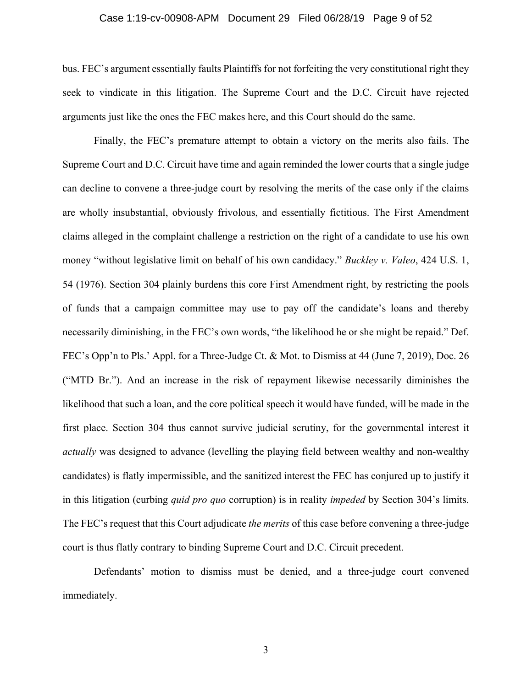#### Case 1:19-cv-00908-APM Document 29 Filed 06/28/19 Page 9 of 52

bus. FEC's argument essentially faults Plaintiffs for not forfeiting the very constitutional right they seek to vindicate in this litigation. The Supreme Court and the D.C. Circuit have rejected arguments just like the ones the FEC makes here, and this Court should do the same.

Finally, the FEC's premature attempt to obtain a victory on the merits also fails. The Supreme Court and D.C. Circuit have time and again reminded the lower courts that a single judge can decline to convene a three-judge court by resolving the merits of the case only if the claims are wholly insubstantial, obviously frivolous, and essentially fictitious. The First Amendment claims alleged in the complaint challenge a restriction on the right of a candidate to use his own money "without legislative limit on behalf of his own candidacy." *Buckley v. Valeo*, 424 U.S. 1, 54 (1976). Section 304 plainly burdens this core First Amendment right, by restricting the pools of funds that a campaign committee may use to pay off the candidate's loans and thereby necessarily diminishing, in the FEC's own words, "the likelihood he or she might be repaid." Def. FEC's Opp'n to Pls.' Appl. for a Three-Judge Ct. & Mot. to Dismiss at 44 (June 7, 2019), Doc. 26 ("MTD Br."). And an increase in the risk of repayment likewise necessarily diminishes the likelihood that such a loan, and the core political speech it would have funded, will be made in the first place. Section 304 thus cannot survive judicial scrutiny, for the governmental interest it *actually* was designed to advance (levelling the playing field between wealthy and non-wealthy candidates) is flatly impermissible, and the sanitized interest the FEC has conjured up to justify it in this litigation (curbing *quid pro quo* corruption) is in reality *impeded* by Section 304's limits. The FEC's request that this Court adjudicate *the merits* of this case before convening a three-judge court is thus flatly contrary to binding Supreme Court and D.C. Circuit precedent.

Defendants' motion to dismiss must be denied, and a three-judge court convened immediately.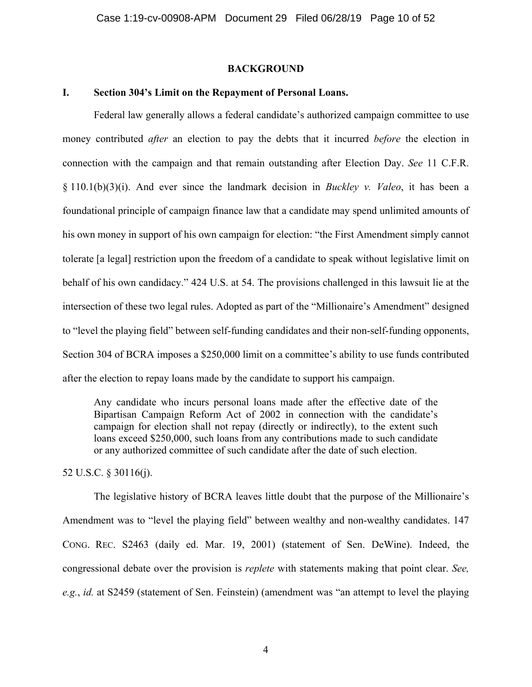#### **BACKGROUND**

### **I. Section 304's Limit on the Repayment of Personal Loans.**

Federal law generally allows a federal candidate's authorized campaign committee to use money contributed *after* an election to pay the debts that it incurred *before* the election in connection with the campaign and that remain outstanding after Election Day. *See* 11 C.F.R. § 110.1(b)(3)(i). And ever since the landmark decision in *Buckley v. Valeo*, it has been a foundational principle of campaign finance law that a candidate may spend unlimited amounts of his own money in support of his own campaign for election: "the First Amendment simply cannot tolerate [a legal] restriction upon the freedom of a candidate to speak without legislative limit on behalf of his own candidacy." 424 U.S. at 54. The provisions challenged in this lawsuit lie at the intersection of these two legal rules. Adopted as part of the "Millionaire's Amendment" designed to "level the playing field" between self-funding candidates and their non-self-funding opponents, Section 304 of BCRA imposes a \$250,000 limit on a committee's ability to use funds contributed after the election to repay loans made by the candidate to support his campaign.

Any candidate who incurs personal loans made after the effective date of the Bipartisan Campaign Reform Act of 2002 in connection with the candidate's campaign for election shall not repay (directly or indirectly), to the extent such loans exceed \$250,000, such loans from any contributions made to such candidate or any authorized committee of such candidate after the date of such election.

52 U.S.C. § 30116(j).

The legislative history of BCRA leaves little doubt that the purpose of the Millionaire's Amendment was to "level the playing field" between wealthy and non-wealthy candidates. 147 CONG. REC. S2463 (daily ed. Mar. 19, 2001) (statement of Sen. DeWine). Indeed, the congressional debate over the provision is *replete* with statements making that point clear. *See, e.g.*, *id.* at S2459 (statement of Sen. Feinstein) (amendment was "an attempt to level the playing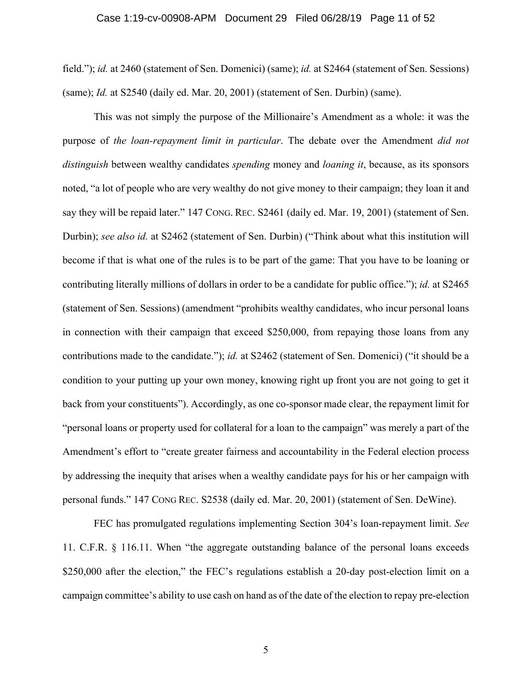#### Case 1:19-cv-00908-APM Document 29 Filed 06/28/19 Page 11 of 52

field."); *id.* at 2460 (statement of Sen. Domenici) (same); *id.* at S2464 (statement of Sen. Sessions) (same); *Id.* at S2540 (daily ed. Mar. 20, 2001) (statement of Sen. Durbin) (same).

This was not simply the purpose of the Millionaire's Amendment as a whole: it was the purpose of *the loan-repayment limit in particular*. The debate over the Amendment *did not distinguish* between wealthy candidates *spending* money and *loaning it*, because, as its sponsors noted, "a lot of people who are very wealthy do not give money to their campaign; they loan it and say they will be repaid later." 147 CONG. REC. S2461 (daily ed. Mar. 19, 2001) (statement of Sen. Durbin); *see also id.* at S2462 (statement of Sen. Durbin) ("Think about what this institution will become if that is what one of the rules is to be part of the game: That you have to be loaning or contributing literally millions of dollars in order to be a candidate for public office."); *id.* at S2465 (statement of Sen. Sessions) (amendment "prohibits wealthy candidates, who incur personal loans in connection with their campaign that exceed \$250,000, from repaying those loans from any contributions made to the candidate."); *id.* at S2462 (statement of Sen. Domenici) ("it should be a condition to your putting up your own money, knowing right up front you are not going to get it back from your constituents"). Accordingly, as one co-sponsor made clear, the repayment limit for "personal loans or property used for collateral for a loan to the campaign" was merely a part of the Amendment's effort to "create greater fairness and accountability in the Federal election process by addressing the inequity that arises when a wealthy candidate pays for his or her campaign with personal funds." 147 CONG REC. S2538 (daily ed. Mar. 20, 2001) (statement of Sen. DeWine).

FEC has promulgated regulations implementing Section 304's loan-repayment limit. *See*  11. C.F.R. § 116.11. When "the aggregate outstanding balance of the personal loans exceeds \$250,000 after the election," the FEC's regulations establish a 20-day post-election limit on a campaign committee's ability to use cash on hand as of the date of the election to repay pre-election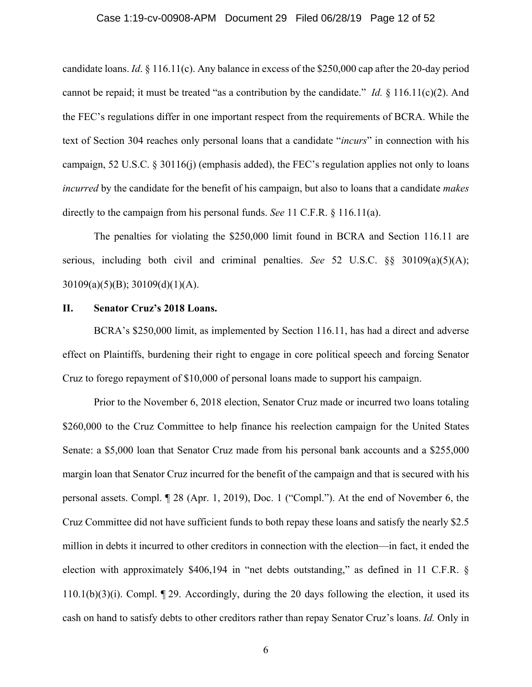#### Case 1:19-cv-00908-APM Document 29 Filed 06/28/19 Page 12 of 52

candidate loans. *Id*. § 116.11(c). Any balance in excess of the \$250,000 cap after the 20-day period cannot be repaid; it must be treated "as a contribution by the candidate." *Id.* § 116.11(c)(2). And the FEC's regulations differ in one important respect from the requirements of BCRA. While the text of Section 304 reaches only personal loans that a candidate "*incurs*" in connection with his campaign, 52 U.S.C. § 30116(j) (emphasis added), the FEC's regulation applies not only to loans *incurred* by the candidate for the benefit of his campaign, but also to loans that a candidate *makes* directly to the campaign from his personal funds. *See* 11 C.F.R. § 116.11(a).

The penalties for violating the \$250,000 limit found in BCRA and Section 116.11 are serious, including both civil and criminal penalties. *See* 52 U.S.C. §§ 30109(a)(5)(A);  $30109(a)(5)(B)$ ;  $30109(d)(1)(A)$ .

### **II. Senator Cruz's 2018 Loans.**

BCRA's \$250,000 limit, as implemented by Section 116.11, has had a direct and adverse effect on Plaintiffs, burdening their right to engage in core political speech and forcing Senator Cruz to forego repayment of \$10,000 of personal loans made to support his campaign.

Prior to the November 6, 2018 election, Senator Cruz made or incurred two loans totaling \$260,000 to the Cruz Committee to help finance his reelection campaign for the United States Senate: a \$5,000 loan that Senator Cruz made from his personal bank accounts and a \$255,000 margin loan that Senator Cruz incurred for the benefit of the campaign and that is secured with his personal assets. Compl. ¶ 28 (Apr. 1, 2019), Doc. 1 ("Compl."). At the end of November 6, the Cruz Committee did not have sufficient funds to both repay these loans and satisfy the nearly \$2.5 million in debts it incurred to other creditors in connection with the election—in fact, it ended the election with approximately \$406,194 in "net debts outstanding," as defined in 11 C.F.R. §  $110.1(b)(3)(i)$ . Compl.  $\P$  29. Accordingly, during the 20 days following the election, it used its cash on hand to satisfy debts to other creditors rather than repay Senator Cruz's loans. *Id.* Only in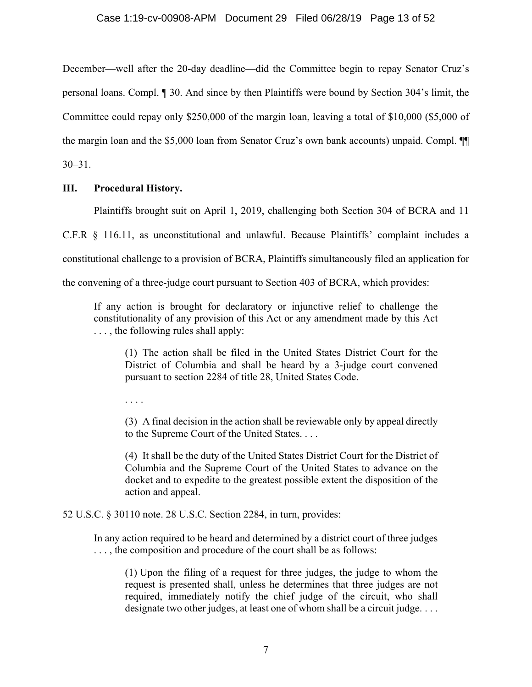December—well after the 20-day deadline—did the Committee begin to repay Senator Cruz's personal loans. Compl. ¶ 30. And since by then Plaintiffs were bound by Section 304's limit, the Committee could repay only \$250,000 of the margin loan, leaving a total of \$10,000 (\$5,000 of the margin loan and the \$5,000 loan from Senator Cruz's own bank accounts) unpaid. Compl. ¶¶ 30–31.

## **III. Procedural History.**

Plaintiffs brought suit on April 1, 2019, challenging both Section 304 of BCRA and 11

C.F.R § 116.11, as unconstitutional and unlawful. Because Plaintiffs' complaint includes a

constitutional challenge to a provision of BCRA, Plaintiffs simultaneously filed an application for

the convening of a three-judge court pursuant to Section 403 of BCRA, which provides:

If any action is brought for declaratory or injunctive relief to challenge the constitutionality of any provision of this Act or any amendment made by this Act ..., the following rules shall apply:

(1) The action shall be filed in the United States District Court for the District of Columbia and shall be heard by a 3-judge court convened pursuant to section 2284 of title 28, United States Code.

. . . .

(3) A final decision in the action shall be reviewable only by appeal directly to the Supreme Court of the United States. . . .

(4) It shall be the duty of the United States District Court for the District of Columbia and the Supreme Court of the United States to advance on the docket and to expedite to the greatest possible extent the disposition of the action and appeal.

## 52 U.S.C. § 30110 note. 28 U.S.C. Section 2284, in turn, provides:

In any action required to be heard and determined by a district court of three judges ..., the composition and procedure of the court shall be as follows:

(1) Upon the filing of a request for three judges, the judge to whom the request is presented shall, unless he determines that three judges are not required, immediately notify the chief judge of the circuit, who shall designate two other judges, at least one of whom shall be a circuit judge. . . .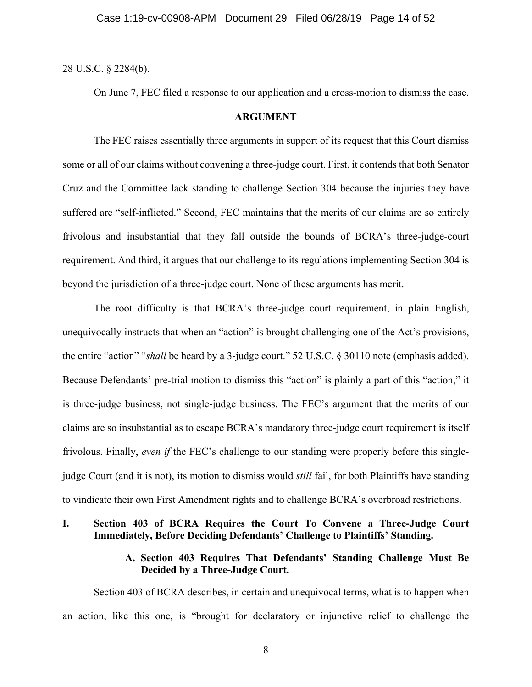28 U.S.C. § 2284(b).

On June 7, FEC filed a response to our application and a cross-motion to dismiss the case.

### **ARGUMENT**

The FEC raises essentially three arguments in support of its request that this Court dismiss some or all of our claims without convening a three-judge court. First, it contends that both Senator Cruz and the Committee lack standing to challenge Section 304 because the injuries they have suffered are "self-inflicted." Second, FEC maintains that the merits of our claims are so entirely frivolous and insubstantial that they fall outside the bounds of BCRA's three-judge-court requirement. And third, it argues that our challenge to its regulations implementing Section 304 is beyond the jurisdiction of a three-judge court. None of these arguments has merit.

The root difficulty is that BCRA's three-judge court requirement, in plain English, unequivocally instructs that when an "action" is brought challenging one of the Act's provisions, the entire "action" "*shall* be heard by a 3-judge court." 52 U.S.C. § 30110 note (emphasis added). Because Defendants' pre-trial motion to dismiss this "action" is plainly a part of this "action," it is three-judge business, not single-judge business. The FEC's argument that the merits of our claims are so insubstantial as to escape BCRA's mandatory three-judge court requirement is itself frivolous. Finally, *even if* the FEC's challenge to our standing were properly before this singlejudge Court (and it is not), its motion to dismiss would *still* fail, for both Plaintiffs have standing to vindicate their own First Amendment rights and to challenge BCRA's overbroad restrictions.

## **I. Section 403 of BCRA Requires the Court To Convene a Three-Judge Court Immediately, Before Deciding Defendants' Challenge to Plaintiffs' Standing.**

## **A. Section 403 Requires That Defendants' Standing Challenge Must Be Decided by a Three-Judge Court.**

Section 403 of BCRA describes, in certain and unequivocal terms, what is to happen when an action, like this one, is "brought for declaratory or injunctive relief to challenge the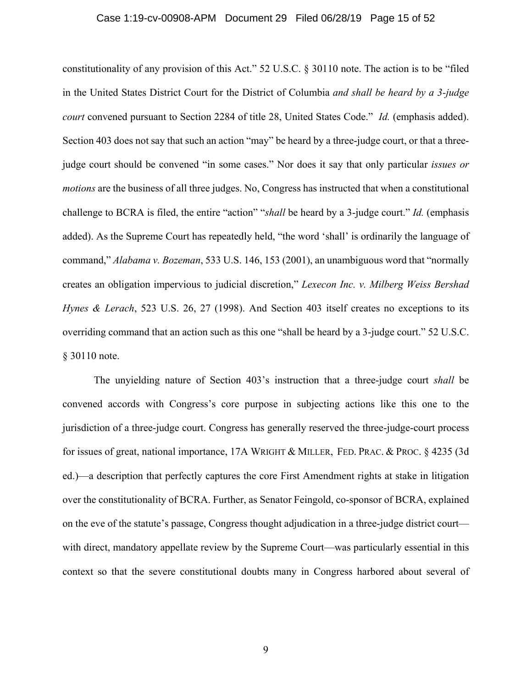#### Case 1:19-cv-00908-APM Document 29 Filed 06/28/19 Page 15 of 52

constitutionality of any provision of this Act." 52 U.S.C. § 30110 note. The action is to be "filed in the United States District Court for the District of Columbia *and shall be heard by a 3-judge court* convened pursuant to Section 2284 of title 28, United States Code." *Id.* (emphasis added). Section 403 does not say that such an action "may" be heard by a three-judge court, or that a threejudge court should be convened "in some cases." Nor does it say that only particular *issues or motions* are the business of all three judges. No, Congress has instructed that when a constitutional challenge to BCRA is filed, the entire "action" "*shall* be heard by a 3-judge court." *Id.* (emphasis added). As the Supreme Court has repeatedly held, "the word 'shall' is ordinarily the language of command," *Alabama v. Bozeman*, 533 U.S. 146, 153 (2001), an unambiguous word that "normally creates an obligation impervious to judicial discretion," *Lexecon Inc. v. Milberg Weiss Bershad Hynes & Lerach*, 523 U.S. 26, 27 (1998). And Section 403 itself creates no exceptions to its overriding command that an action such as this one "shall be heard by a 3-judge court." 52 U.S.C. § 30110 note.

The unyielding nature of Section 403's instruction that a three-judge court *shall* be convened accords with Congress's core purpose in subjecting actions like this one to the jurisdiction of a three-judge court. Congress has generally reserved the three-judge-court process for issues of great, national importance, 17A WRIGHT & MILLER, FED. PRAC. & PROC. § 4235 (3d ed.)—a description that perfectly captures the core First Amendment rights at stake in litigation over the constitutionality of BCRA. Further, as Senator Feingold, co-sponsor of BCRA, explained on the eve of the statute's passage, Congress thought adjudication in a three-judge district court with direct, mandatory appellate review by the Supreme Court—was particularly essential in this context so that the severe constitutional doubts many in Congress harbored about several of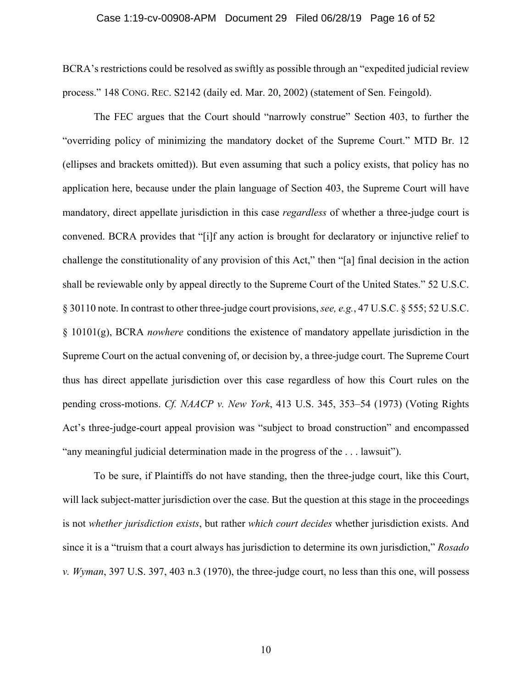#### Case 1:19-cv-00908-APM Document 29 Filed 06/28/19 Page 16 of 52

BCRA's restrictions could be resolved as swiftly as possible through an "expedited judicial review process." 148 CONG. REC. S2142 (daily ed. Mar. 20, 2002) (statement of Sen. Feingold).

The FEC argues that the Court should "narrowly construe" Section 403, to further the "overriding policy of minimizing the mandatory docket of the Supreme Court." MTD Br. 12 (ellipses and brackets omitted)). But even assuming that such a policy exists, that policy has no application here, because under the plain language of Section 403, the Supreme Court will have mandatory, direct appellate jurisdiction in this case *regardless* of whether a three-judge court is convened. BCRA provides that "[i]f any action is brought for declaratory or injunctive relief to challenge the constitutionality of any provision of this Act," then "[a] final decision in the action shall be reviewable only by appeal directly to the Supreme Court of the United States." 52 U.S.C. § 30110 note. In contrast to other three-judge court provisions, *see, e.g.*, 47 U.S.C. § 555; 52 U.S.C. § 10101(g), BCRA *nowhere* conditions the existence of mandatory appellate jurisdiction in the Supreme Court on the actual convening of, or decision by, a three-judge court. The Supreme Court thus has direct appellate jurisdiction over this case regardless of how this Court rules on the pending cross-motions. *Cf. NAACP v. New York*, 413 U.S. 345, 353–54 (1973) (Voting Rights Act's three-judge-court appeal provision was "subject to broad construction" and encompassed "any meaningful judicial determination made in the progress of the . . . lawsuit").

To be sure, if Plaintiffs do not have standing, then the three-judge court, like this Court, will lack subject-matter jurisdiction over the case. But the question at this stage in the proceedings is not *whether jurisdiction exists*, but rather *which court decides* whether jurisdiction exists. And since it is a "truism that a court always has jurisdiction to determine its own jurisdiction," *Rosado v. Wyman*, 397 U.S. 397, 403 n.3 (1970), the three-judge court, no less than this one, will possess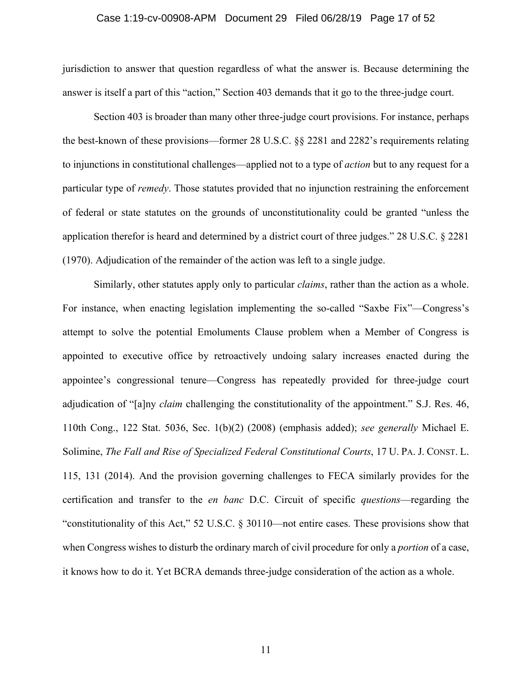#### Case 1:19-cv-00908-APM Document 29 Filed 06/28/19 Page 17 of 52

jurisdiction to answer that question regardless of what the answer is. Because determining the answer is itself a part of this "action," Section 403 demands that it go to the three-judge court.

Section 403 is broader than many other three-judge court provisions. For instance, perhaps the best-known of these provisions—former 28 U.S.C. §§ 2281 and 2282's requirements relating to injunctions in constitutional challenges—applied not to a type of *action* but to any request for a particular type of *remedy*. Those statutes provided that no injunction restraining the enforcement of federal or state statutes on the grounds of unconstitutionality could be granted "unless the application therefor is heard and determined by a district court of three judges." 28 U.S.C. § 2281 (1970). Adjudication of the remainder of the action was left to a single judge.

Similarly, other statutes apply only to particular *claims*, rather than the action as a whole. For instance, when enacting legislation implementing the so-called "Saxbe Fix"—Congress's attempt to solve the potential Emoluments Clause problem when a Member of Congress is appointed to executive office by retroactively undoing salary increases enacted during the appointee's congressional tenure—Congress has repeatedly provided for three-judge court adjudication of "[a]ny *claim* challenging the constitutionality of the appointment." S.J. Res. 46, 110th Cong., 122 Stat. 5036, Sec. 1(b)(2) (2008) (emphasis added); *see generally* Michael E. Solimine, *The Fall and Rise of Specialized Federal Constitutional Courts*, 17 U. PA. J. CONST. L. 115, 131 (2014). And the provision governing challenges to FECA similarly provides for the certification and transfer to the *en banc* D.C. Circuit of specific *questions*—regarding the "constitutionality of this Act," 52 U.S.C. § 30110—not entire cases. These provisions show that when Congress wishes to disturb the ordinary march of civil procedure for only a *portion* of a case, it knows how to do it. Yet BCRA demands three-judge consideration of the action as a whole.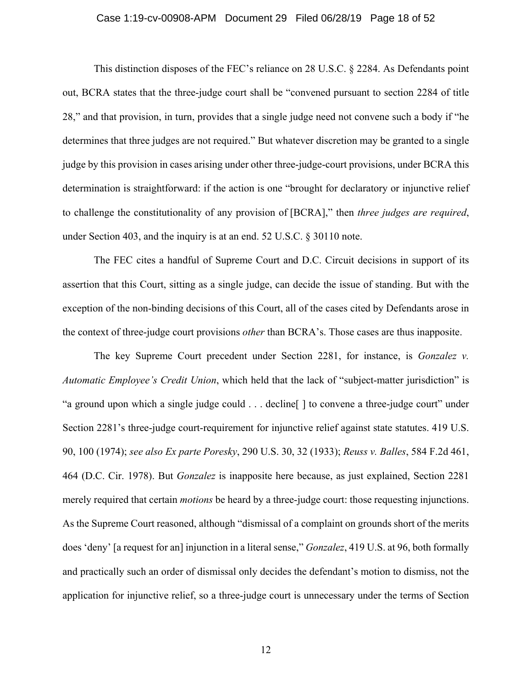#### Case 1:19-cv-00908-APM Document 29 Filed 06/28/19 Page 18 of 52

This distinction disposes of the FEC's reliance on 28 U.S.C. § 2284. As Defendants point out, BCRA states that the three-judge court shall be "convened pursuant to section 2284 of title 28," and that provision, in turn, provides that a single judge need not convene such a body if "he determines that three judges are not required." But whatever discretion may be granted to a single judge by this provision in cases arising under other three-judge-court provisions, under BCRA this determination is straightforward: if the action is one "brought for declaratory or injunctive relief to challenge the constitutionality of any provision of [BCRA]," then *three judges are required*, under Section 403, and the inquiry is at an end. 52 U.S.C. § 30110 note.

The FEC cites a handful of Supreme Court and D.C. Circuit decisions in support of its assertion that this Court, sitting as a single judge, can decide the issue of standing. But with the exception of the non-binding decisions of this Court, all of the cases cited by Defendants arose in the context of three-judge court provisions *other* than BCRA's. Those cases are thus inapposite.

The key Supreme Court precedent under Section 2281, for instance, is *Gonzalez v. Automatic Employee's Credit Union*, which held that the lack of "subject-matter jurisdiction" is "a ground upon which a single judge could . . . decline[ ] to convene a three-judge court" under Section 2281's three-judge court-requirement for injunctive relief against state statutes. 419 U.S. 90, 100 (1974); *see also Ex parte Poresky*, 290 U.S. 30, 32 (1933); *Reuss v. Balles*, 584 F.2d 461, 464 (D.C. Cir. 1978). But *Gonzalez* is inapposite here because, as just explained, Section 2281 merely required that certain *motions* be heard by a three-judge court: those requesting injunctions. As the Supreme Court reasoned, although "dismissal of a complaint on grounds short of the merits does 'deny' [a request for an] injunction in a literal sense," *Gonzalez*, 419 U.S. at 96, both formally and practically such an order of dismissal only decides the defendant's motion to dismiss, not the application for injunctive relief, so a three-judge court is unnecessary under the terms of Section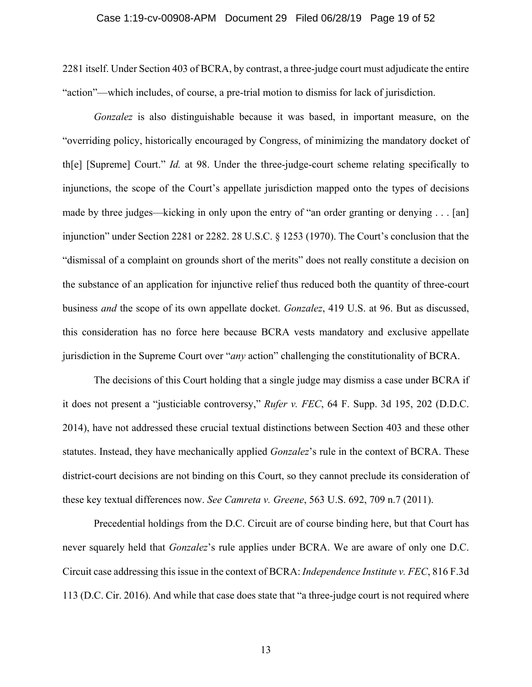#### Case 1:19-cv-00908-APM Document 29 Filed 06/28/19 Page 19 of 52

2281 itself. Under Section 403 of BCRA, by contrast, a three-judge court must adjudicate the entire "action"—which includes, of course, a pre-trial motion to dismiss for lack of jurisdiction.

*Gonzalez* is also distinguishable because it was based, in important measure, on the "overriding policy, historically encouraged by Congress, of minimizing the mandatory docket of th[e] [Supreme] Court." *Id.* at 98. Under the three-judge-court scheme relating specifically to injunctions, the scope of the Court's appellate jurisdiction mapped onto the types of decisions made by three judges—kicking in only upon the entry of "an order granting or denying . . . [an] injunction" under Section 2281 or 2282. 28 U.S.C. § 1253 (1970). The Court's conclusion that the "dismissal of a complaint on grounds short of the merits" does not really constitute a decision on the substance of an application for injunctive relief thus reduced both the quantity of three-court business *and* the scope of its own appellate docket. *Gonzalez*, 419 U.S. at 96. But as discussed, this consideration has no force here because BCRA vests mandatory and exclusive appellate jurisdiction in the Supreme Court over "*any* action" challenging the constitutionality of BCRA.

The decisions of this Court holding that a single judge may dismiss a case under BCRA if it does not present a "justiciable controversy," *Rufer v. FEC*, 64 F. Supp. 3d 195, 202 (D.D.C. 2014), have not addressed these crucial textual distinctions between Section 403 and these other statutes. Instead, they have mechanically applied *Gonzalez*'s rule in the context of BCRA. These district-court decisions are not binding on this Court, so they cannot preclude its consideration of these key textual differences now. *See Camreta v. Greene*, 563 U.S. 692, 709 n.7 (2011).

Precedential holdings from the D.C. Circuit are of course binding here, but that Court has never squarely held that *Gonzalez*'s rule applies under BCRA. We are aware of only one D.C. Circuit case addressing this issue in the context of BCRA: *Independence Institute v. FEC*, 816 F.3d 113 (D.C. Cir. 2016). And while that case does state that "a three-judge court is not required where

13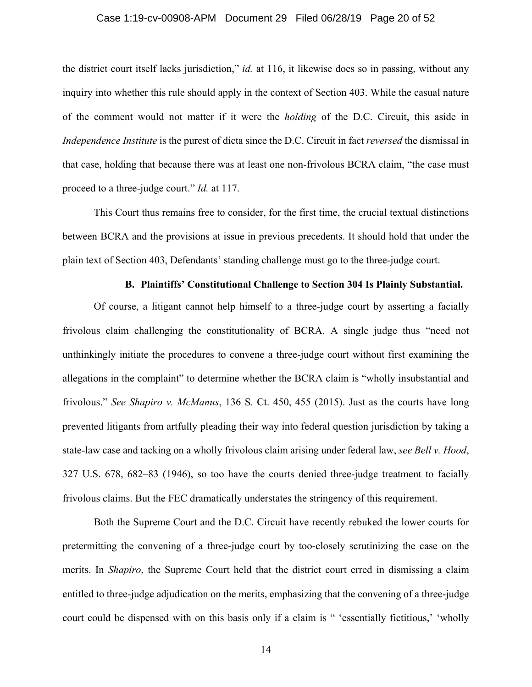#### Case 1:19-cv-00908-APM Document 29 Filed 06/28/19 Page 20 of 52

the district court itself lacks jurisdiction," *id.* at 116, it likewise does so in passing, without any inquiry into whether this rule should apply in the context of Section 403. While the casual nature of the comment would not matter if it were the *holding* of the D.C. Circuit, this aside in *Independence Institute* is the purest of dicta since the D.C. Circuit in fact *reversed* the dismissal in that case, holding that because there was at least one non-frivolous BCRA claim, "the case must proceed to a three-judge court." *Id.* at 117.

This Court thus remains free to consider, for the first time, the crucial textual distinctions between BCRA and the provisions at issue in previous precedents. It should hold that under the plain text of Section 403, Defendants' standing challenge must go to the three-judge court.

### **B. Plaintiffs' Constitutional Challenge to Section 304 Is Plainly Substantial.**

Of course, a litigant cannot help himself to a three-judge court by asserting a facially frivolous claim challenging the constitutionality of BCRA. A single judge thus "need not unthinkingly initiate the procedures to convene a three-judge court without first examining the allegations in the complaint" to determine whether the BCRA claim is "wholly insubstantial and frivolous." *See Shapiro v. McManus*, 136 S. Ct. 450, 455 (2015). Just as the courts have long prevented litigants from artfully pleading their way into federal question jurisdiction by taking a state-law case and tacking on a wholly frivolous claim arising under federal law, *see Bell v. Hood*, 327 U.S. 678, 682–83 (1946), so too have the courts denied three-judge treatment to facially frivolous claims. But the FEC dramatically understates the stringency of this requirement.

Both the Supreme Court and the D.C. Circuit have recently rebuked the lower courts for pretermitting the convening of a three-judge court by too-closely scrutinizing the case on the merits. In *Shapiro*, the Supreme Court held that the district court erred in dismissing a claim entitled to three-judge adjudication on the merits, emphasizing that the convening of a three-judge court could be dispensed with on this basis only if a claim is " 'essentially fictitious,' 'wholly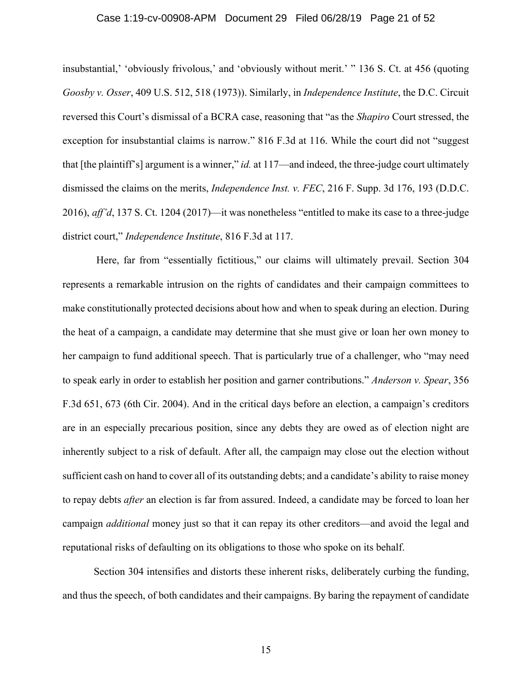#### Case 1:19-cv-00908-APM Document 29 Filed 06/28/19 Page 21 of 52

insubstantial,' 'obviously frivolous,' and 'obviously without merit.' " 136 S. Ct. at 456 (quoting *Goosby v. Osser*, 409 U.S. 512, 518 (1973)). Similarly, in *Independence Institute*, the D.C. Circuit reversed this Court's dismissal of a BCRA case, reasoning that "as the *Shapiro* Court stressed, the exception for insubstantial claims is narrow." 816 F.3d at 116. While the court did not "suggest that [the plaintiff's] argument is a winner," *id.* at 117—and indeed, the three-judge court ultimately dismissed the claims on the merits, *Independence Inst. v. FEC*, 216 F. Supp. 3d 176, 193 (D.D.C. 2016), *aff'd*, 137 S. Ct. 1204 (2017)—it was nonetheless "entitled to make its case to a three-judge district court," *Independence Institute*, 816 F.3d at 117.

 Here, far from "essentially fictitious," our claims will ultimately prevail. Section 304 represents a remarkable intrusion on the rights of candidates and their campaign committees to make constitutionally protected decisions about how and when to speak during an election. During the heat of a campaign, a candidate may determine that she must give or loan her own money to her campaign to fund additional speech. That is particularly true of a challenger, who "may need to speak early in order to establish her position and garner contributions." *Anderson v. Spear*, 356 F.3d 651, 673 (6th Cir. 2004). And in the critical days before an election, a campaign's creditors are in an especially precarious position, since any debts they are owed as of election night are inherently subject to a risk of default. After all, the campaign may close out the election without sufficient cash on hand to cover all of its outstanding debts; and a candidate's ability to raise money to repay debts *after* an election is far from assured. Indeed, a candidate may be forced to loan her campaign *additional* money just so that it can repay its other creditors—and avoid the legal and reputational risks of defaulting on its obligations to those who spoke on its behalf.

Section 304 intensifies and distorts these inherent risks, deliberately curbing the funding, and thus the speech, of both candidates and their campaigns. By baring the repayment of candidate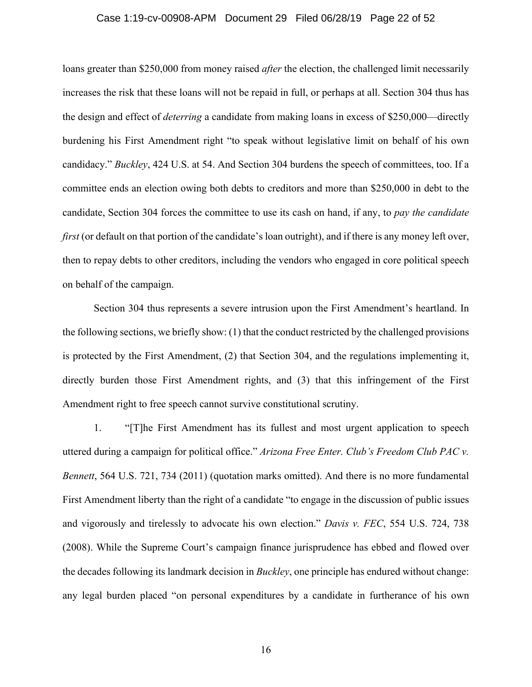#### Case 1:19-cv-00908-APM Document 29 Filed 06/28/19 Page 22 of 52

loans greater than \$250,000 from money raised *after* the election, the challenged limit necessarily increases the risk that these loans will not be repaid in full, or perhaps at all. Section 304 thus has the design and effect of *deterring* a candidate from making loans in excess of \$250,000—directly burdening his First Amendment right "to speak without legislative limit on behalf of his own candidacy." *Buckley*, 424 U.S. at 54. And Section 304 burdens the speech of committees, too. If a committee ends an election owing both debts to creditors and more than \$250,000 in debt to the candidate, Section 304 forces the committee to use its cash on hand, if any, to *pay the candidate first* (or default on that portion of the candidate's loan outright), and if there is any money left over, then to repay debts to other creditors, including the vendors who engaged in core political speech on behalf of the campaign.

Section 304 thus represents a severe intrusion upon the First Amendment's heartland. In the following sections, we briefly show: (1) that the conduct restricted by the challenged provisions is protected by the First Amendment, (2) that Section 304, and the regulations implementing it, directly burden those First Amendment rights, and (3) that this infringement of the First Amendment right to free speech cannot survive constitutional scrutiny.

1. "[T]he First Amendment has its fullest and most urgent application to speech uttered during a campaign for political office." *Arizona Free Enter. Club's Freedom Club PAC v. Bennett*, 564 U.S. 721, 734 (2011) (quotation marks omitted). And there is no more fundamental First Amendment liberty than the right of a candidate "to engage in the discussion of public issues and vigorously and tirelessly to advocate his own election." *Davis v. FEC*, 554 U.S. 724, 738 (2008). While the Supreme Court's campaign finance jurisprudence has ebbed and flowed over the decades following its landmark decision in *Buckley*, one principle has endured without change: any legal burden placed "on personal expenditures by a candidate in furtherance of his own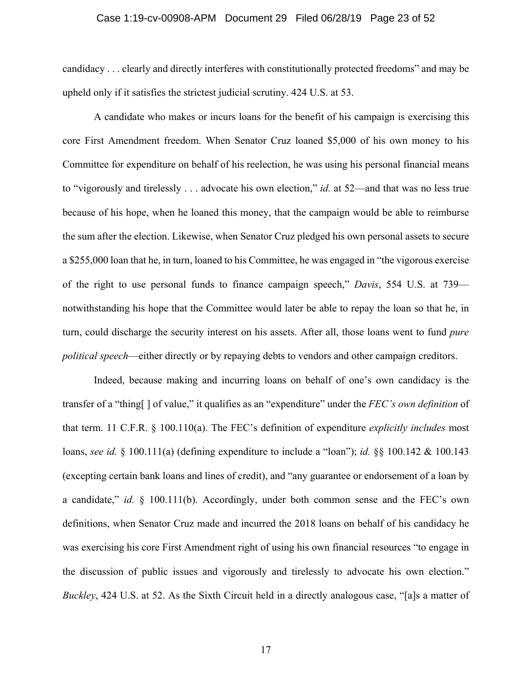#### Case 1:19-cv-00908-APM Document 29 Filed 06/28/19 Page 23 of 52

candidacy . . . clearly and directly interferes with constitutionally protected freedoms" and may be upheld only if it satisfies the strictest judicial scrutiny. 424 U.S. at 53.

A candidate who makes or incurs loans for the benefit of his campaign is exercising this core First Amendment freedom. When Senator Cruz loaned \$5,000 of his own money to his Committee for expenditure on behalf of his reelection, he was using his personal financial means to "vigorously and tirelessly . . . advocate his own election," *id.* at 52—and that was no less true because of his hope, when he loaned this money, that the campaign would be able to reimburse the sum after the election. Likewise, when Senator Cruz pledged his own personal assets to secure a \$255,000 loan that he, in turn, loaned to his Committee, he was engaged in "the vigorous exercise of the right to use personal funds to finance campaign speech," *Davis*, 554 U.S. at 739 notwithstanding his hope that the Committee would later be able to repay the loan so that he, in turn, could discharge the security interest on his assets. After all, those loans went to fund *pure political speech*—either directly or by repaying debts to vendors and other campaign creditors.

Indeed, because making and incurring loans on behalf of one's own candidacy is the transfer of a "thing[ ] of value," it qualifies as an "expenditure" under the *FEC's own definition* of that term. 11 C.F.R. § 100.110(a). The FEC's definition of expenditure *explicitly includes* most loans, *see id.* § 100.111(a) (defining expenditure to include a "loan"); *id.* §§ 100.142 & 100.143 (excepting certain bank loans and lines of credit), and "any guarantee or endorsement of a loan by a candidate," *id.* § 100.111(b). Accordingly, under both common sense and the FEC's own definitions, when Senator Cruz made and incurred the 2018 loans on behalf of his candidacy he was exercising his core First Amendment right of using his own financial resources "to engage in the discussion of public issues and vigorously and tirelessly to advocate his own election." *Buckley*, 424 U.S. at 52. As the Sixth Circuit held in a directly analogous case, "[a]s a matter of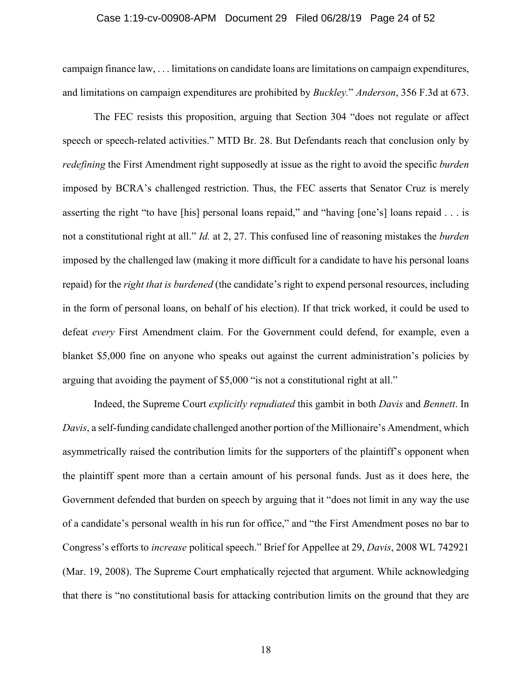#### Case 1:19-cv-00908-APM Document 29 Filed 06/28/19 Page 24 of 52

campaign finance law, . . . limitations on candidate loans are limitations on campaign expenditures, and limitations on campaign expenditures are prohibited by *Buckley.*" *Anderson*, 356 F.3d at 673.

The FEC resists this proposition, arguing that Section 304 "does not regulate or affect speech or speech-related activities." MTD Br. 28. But Defendants reach that conclusion only by *redefining* the First Amendment right supposedly at issue as the right to avoid the specific *burden*  imposed by BCRA's challenged restriction. Thus, the FEC asserts that Senator Cruz is merely asserting the right "to have [his] personal loans repaid," and "having [one's] loans repaid . . . is not a constitutional right at all." *Id.* at 2, 27. This confused line of reasoning mistakes the *burden*  imposed by the challenged law (making it more difficult for a candidate to have his personal loans repaid) for the *right that is burdened* (the candidate's right to expend personal resources, including in the form of personal loans, on behalf of his election). If that trick worked, it could be used to defeat *every* First Amendment claim. For the Government could defend, for example, even a blanket \$5,000 fine on anyone who speaks out against the current administration's policies by arguing that avoiding the payment of \$5,000 "is not a constitutional right at all."

Indeed, the Supreme Court *explicitly repudiated* this gambit in both *Davis* and *Bennett*. In *Davis*, a self-funding candidate challenged another portion of the Millionaire's Amendment, which asymmetrically raised the contribution limits for the supporters of the plaintiff's opponent when the plaintiff spent more than a certain amount of his personal funds. Just as it does here, the Government defended that burden on speech by arguing that it "does not limit in any way the use of a candidate's personal wealth in his run for office," and "the First Amendment poses no bar to Congress's efforts to *increase* political speech." Brief for Appellee at 29, *Davis*, 2008 WL 742921 (Mar. 19, 2008). The Supreme Court emphatically rejected that argument. While acknowledging that there is "no constitutional basis for attacking contribution limits on the ground that they are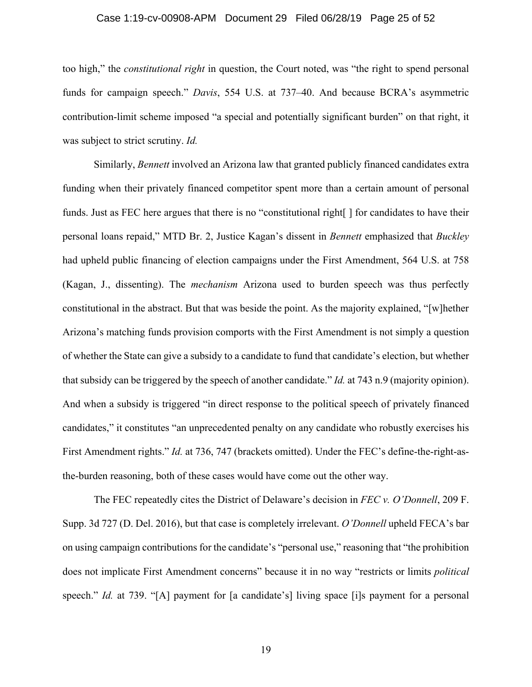#### Case 1:19-cv-00908-APM Document 29 Filed 06/28/19 Page 25 of 52

too high," the *constitutional right* in question, the Court noted, was "the right to spend personal funds for campaign speech." *Davis*, 554 U.S. at 737–40. And because BCRA's asymmetric contribution-limit scheme imposed "a special and potentially significant burden" on that right, it was subject to strict scrutiny. *Id.* 

Similarly, *Bennett* involved an Arizona law that granted publicly financed candidates extra funding when their privately financed competitor spent more than a certain amount of personal funds. Just as FEC here argues that there is no "constitutional right[ ] for candidates to have their personal loans repaid," MTD Br. 2, Justice Kagan's dissent in *Bennett* emphasized that *Buckley*  had upheld public financing of election campaigns under the First Amendment, 564 U.S. at 758 (Kagan, J., dissenting). The *mechanism* Arizona used to burden speech was thus perfectly constitutional in the abstract. But that was beside the point. As the majority explained, "[w]hether Arizona's matching funds provision comports with the First Amendment is not simply a question of whether the State can give a subsidy to a candidate to fund that candidate's election, but whether that subsidy can be triggered by the speech of another candidate." *Id.* at 743 n.9 (majority opinion). And when a subsidy is triggered "in direct response to the political speech of privately financed candidates," it constitutes "an unprecedented penalty on any candidate who robustly exercises his First Amendment rights." *Id.* at 736, 747 (brackets omitted). Under the FEC's define-the-right-asthe-burden reasoning, both of these cases would have come out the other way.

The FEC repeatedly cites the District of Delaware's decision in *FEC v. O'Donnell*, 209 F. Supp. 3d 727 (D. Del. 2016), but that case is completely irrelevant. *O'Donnell* upheld FECA's bar on using campaign contributions for the candidate's "personal use," reasoning that "the prohibition does not implicate First Amendment concerns" because it in no way "restricts or limits *political*  speech." *Id.* at 739. "[A] payment for [a candidate's] living space [i]s payment for a personal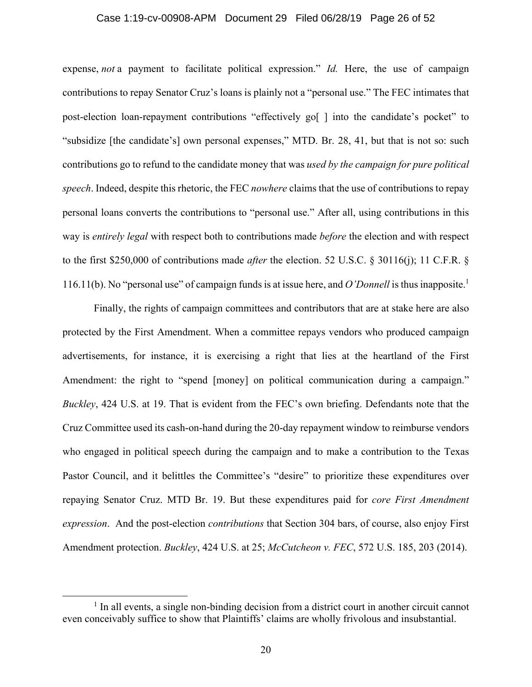#### Case 1:19-cv-00908-APM Document 29 Filed 06/28/19 Page 26 of 52

expense, *not* a payment to facilitate political expression." *Id.* Here, the use of campaign contributions to repay Senator Cruz's loans is plainly not a "personal use." The FEC intimates that post-election loan-repayment contributions "effectively go[ ] into the candidate's pocket" to "subsidize [the candidate's] own personal expenses," MTD. Br. 28, 41, but that is not so: such contributions go to refund to the candidate money that was *used by the campaign for pure political speech*. Indeed, despite this rhetoric, the FEC *nowhere* claims that the use of contributions to repay personal loans converts the contributions to "personal use." After all, using contributions in this way is *entirely legal* with respect both to contributions made *before* the election and with respect to the first \$250,000 of contributions made *after* the election. 52 U.S.C. § 30116(j); 11 C.F.R. § 116.11(b). No "personal use" of campaign funds is at issue here, and *O'Donnell* is thus inapposite.1

Finally, the rights of campaign committees and contributors that are at stake here are also protected by the First Amendment. When a committee repays vendors who produced campaign advertisements, for instance, it is exercising a right that lies at the heartland of the First Amendment: the right to "spend [money] on political communication during a campaign." *Buckley*, 424 U.S. at 19. That is evident from the FEC's own briefing. Defendants note that the Cruz Committee used its cash-on-hand during the 20-day repayment window to reimburse vendors who engaged in political speech during the campaign and to make a contribution to the Texas Pastor Council, and it belittles the Committee's "desire" to prioritize these expenditures over repaying Senator Cruz. MTD Br. 19. But these expenditures paid for *core First Amendment expression*. And the post-election *contributions* that Section 304 bars, of course, also enjoy First Amendment protection. *Buckley*, 424 U.S. at 25; *McCutcheon v. FEC*, 572 U.S. 185, 203 (2014).

 $\frac{1}{1}$  $<sup>1</sup>$  In all events, a single non-binding decision from a district court in another circuit cannot</sup> even conceivably suffice to show that Plaintiffs' claims are wholly frivolous and insubstantial.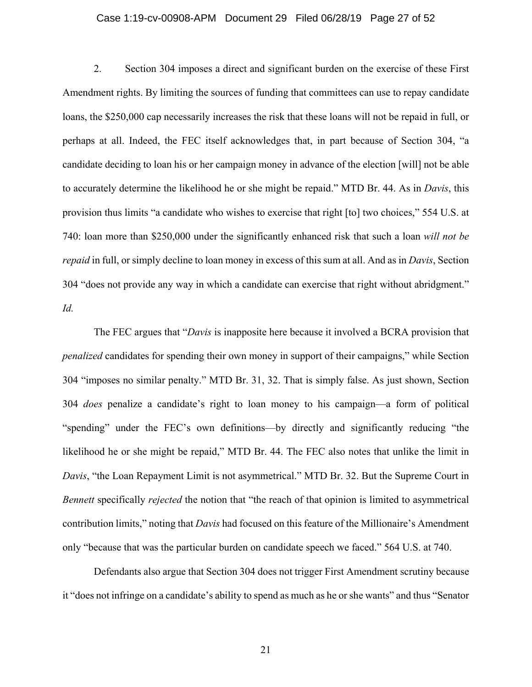#### Case 1:19-cv-00908-APM Document 29 Filed 06/28/19 Page 27 of 52

2. Section 304 imposes a direct and significant burden on the exercise of these First Amendment rights. By limiting the sources of funding that committees can use to repay candidate loans, the \$250,000 cap necessarily increases the risk that these loans will not be repaid in full, or perhaps at all. Indeed, the FEC itself acknowledges that, in part because of Section 304, "a candidate deciding to loan his or her campaign money in advance of the election [will] not be able to accurately determine the likelihood he or she might be repaid." MTD Br. 44. As in *Davis*, this provision thus limits "a candidate who wishes to exercise that right [to] two choices," 554 U.S. at 740: loan more than \$250,000 under the significantly enhanced risk that such a loan *will not be repaid* in full, or simply decline to loan money in excess of this sum at all. And as in *Davis*, Section 304 "does not provide any way in which a candidate can exercise that right without abridgment." *Id.*

The FEC argues that "*Davis* is inapposite here because it involved a BCRA provision that *penalized* candidates for spending their own money in support of their campaigns," while Section 304 "imposes no similar penalty." MTD Br. 31, 32. That is simply false. As just shown, Section 304 *does* penalize a candidate's right to loan money to his campaign—a form of political "spending" under the FEC's own definitions—by directly and significantly reducing "the likelihood he or she might be repaid," MTD Br. 44. The FEC also notes that unlike the limit in *Davis*, "the Loan Repayment Limit is not asymmetrical." MTD Br. 32. But the Supreme Court in *Bennett* specifically *rejected* the notion that "the reach of that opinion is limited to asymmetrical contribution limits," noting that *Davis* had focused on this feature of the Millionaire's Amendment only "because that was the particular burden on candidate speech we faced." 564 U.S. at 740.

Defendants also argue that Section 304 does not trigger First Amendment scrutiny because it "does not infringe on a candidate's ability to spend as much as he or she wants" and thus "Senator

21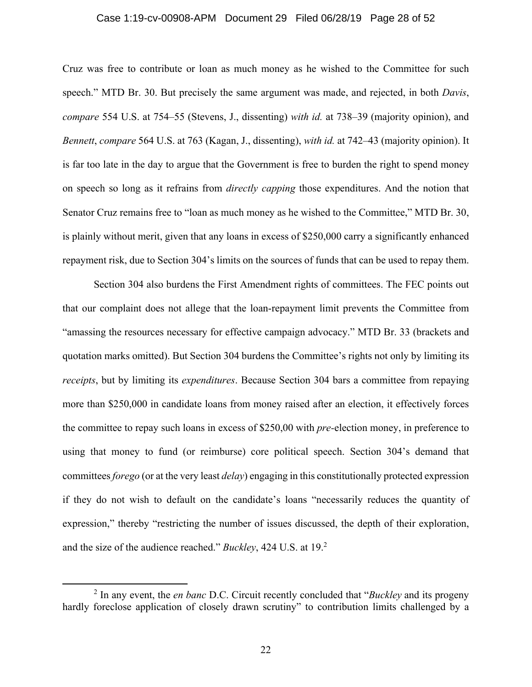#### Case 1:19-cv-00908-APM Document 29 Filed 06/28/19 Page 28 of 52

Cruz was free to contribute or loan as much money as he wished to the Committee for such speech." MTD Br. 30. But precisely the same argument was made, and rejected, in both *Davis*, *compare* 554 U.S. at 754–55 (Stevens, J., dissenting) *with id.* at 738–39 (majority opinion), and *Bennett*, *compare* 564 U.S. at 763 (Kagan, J., dissenting), *with id.* at 742–43 (majority opinion). It is far too late in the day to argue that the Government is free to burden the right to spend money on speech so long as it refrains from *directly capping* those expenditures. And the notion that Senator Cruz remains free to "loan as much money as he wished to the Committee," MTD Br. 30, is plainly without merit, given that any loans in excess of \$250,000 carry a significantly enhanced repayment risk, due to Section 304's limits on the sources of funds that can be used to repay them.

Section 304 also burdens the First Amendment rights of committees. The FEC points out that our complaint does not allege that the loan-repayment limit prevents the Committee from "amassing the resources necessary for effective campaign advocacy." MTD Br. 33 (brackets and quotation marks omitted). But Section 304 burdens the Committee's rights not only by limiting its *receipts*, but by limiting its *expenditures*. Because Section 304 bars a committee from repaying more than \$250,000 in candidate loans from money raised after an election, it effectively forces the committee to repay such loans in excess of \$250,00 with *pre-*election money, in preference to using that money to fund (or reimburse) core political speech. Section 304's demand that committees *forego* (or at the very least *delay*) engaging in this constitutionally protected expression if they do not wish to default on the candidate's loans "necessarily reduces the quantity of expression," thereby "restricting the number of issues discussed, the depth of their exploration, and the size of the audience reached." *Buckley*, 424 U.S. at 19.2

 $\frac{1}{2}$  In any event, the *en banc* D.C. Circuit recently concluded that "*Buckley* and its progeny hardly foreclose application of closely drawn scrutiny" to contribution limits challenged by a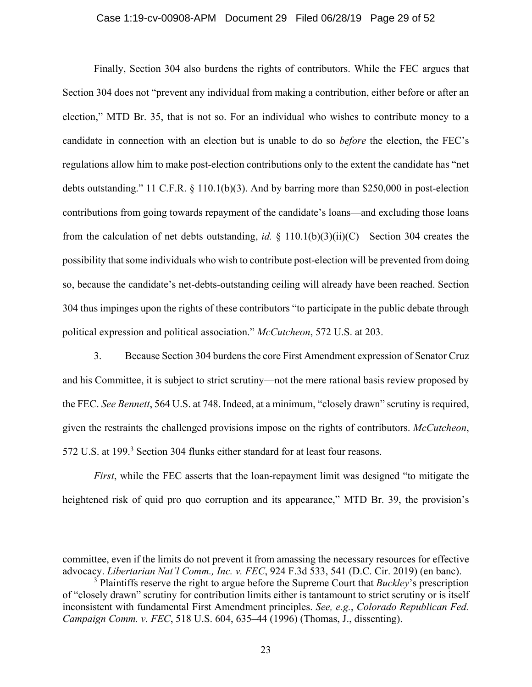#### Case 1:19-cv-00908-APM Document 29 Filed 06/28/19 Page 29 of 52

Finally, Section 304 also burdens the rights of contributors. While the FEC argues that Section 304 does not "prevent any individual from making a contribution, either before or after an election," MTD Br. 35, that is not so. For an individual who wishes to contribute money to a candidate in connection with an election but is unable to do so *before* the election, the FEC's regulations allow him to make post-election contributions only to the extent the candidate has "net debts outstanding." 11 C.F.R. § 110.1(b)(3). And by barring more than \$250,000 in post-election contributions from going towards repayment of the candidate's loans—and excluding those loans from the calculation of net debts outstanding, *id.* § 110.1(b)(3)(ii)(C)—Section 304 creates the possibility that some individuals who wish to contribute post-election will be prevented from doing so, because the candidate's net-debts-outstanding ceiling will already have been reached. Section 304 thus impinges upon the rights of these contributors "to participate in the public debate through political expression and political association." *McCutcheon*, 572 U.S. at 203.

3. Because Section 304 burdens the core First Amendment expression of Senator Cruz and his Committee, it is subject to strict scrutiny—not the mere rational basis review proposed by the FEC. *See Bennett*, 564 U.S. at 748. Indeed, at a minimum, "closely drawn" scrutiny is required, given the restraints the challenged provisions impose on the rights of contributors. *McCutcheon*, 572 U.S. at 199.<sup>3</sup> Section 304 flunks either standard for at least four reasons.

*First*, while the FEC asserts that the loan-repayment limit was designed "to mitigate the heightened risk of quid pro quo corruption and its appearance," MTD Br. 39, the provision's

 $\overline{a}$ 

committee, even if the limits do not prevent it from amassing the necessary resources for effective advocacy. *Libertarian Nat'l Comm., Inc. v. FEC*, 924 F.3d 533, 541 (D.C. Cir. 2019) (en banc).

<sup>&</sup>lt;sup>3</sup> Plaintiffs reserve the right to argue before the Supreme Court that *Buckley*'s prescription of "closely drawn" scrutiny for contribution limits either is tantamount to strict scrutiny or is itself inconsistent with fundamental First Amendment principles. *See, e.g.*, *Colorado Republican Fed. Campaign Comm. v. FEC*, 518 U.S. 604, 635–44 (1996) (Thomas, J., dissenting).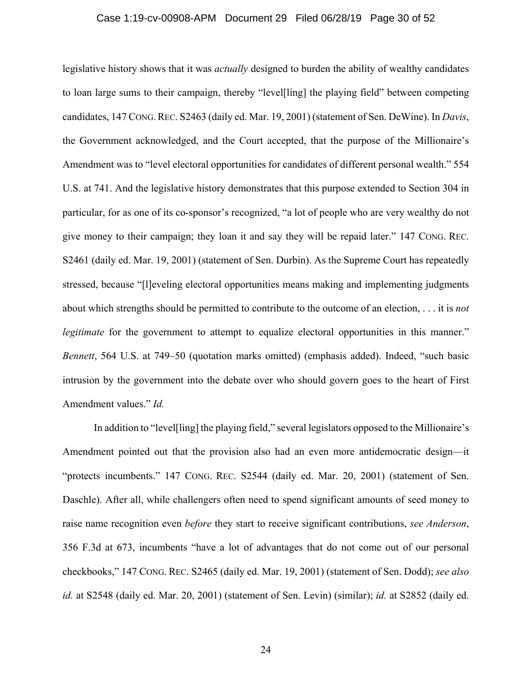#### Case 1:19-cv-00908-APM Document 29 Filed 06/28/19 Page 30 of 52

legislative history shows that it was *actually* designed to burden the ability of wealthy candidates to loan large sums to their campaign, thereby "level[ling] the playing field" between competing candidates, 147 CONG.REC. S2463 (daily ed. Mar. 19, 2001) (statement of Sen. DeWine). In *Davis*, the Government acknowledged, and the Court accepted, that the purpose of the Millionaire's Amendment was to "level electoral opportunities for candidates of different personal wealth." 554 U.S. at 741. And the legislative history demonstrates that this purpose extended to Section 304 in particular, for as one of its co-sponsor's recognized, "a lot of people who are very wealthy do not give money to their campaign; they loan it and say they will be repaid later." 147 CONG. REC. S2461 (daily ed. Mar. 19, 2001) (statement of Sen. Durbin). As the Supreme Court has repeatedly stressed, because "[l]eveling electoral opportunities means making and implementing judgments about which strengths should be permitted to contribute to the outcome of an election, . . . it is *not legitimate* for the government to attempt to equalize electoral opportunities in this manner." *Bennett*, 564 U.S. at 749–50 (quotation marks omitted) (emphasis added). Indeed, "such basic intrusion by the government into the debate over who should govern goes to the heart of First Amendment values." *Id.*

In addition to "level[ling] the playing field," several legislators opposed to the Millionaire's Amendment pointed out that the provision also had an even more antidemocratic design—it "protects incumbents." 147 CONG. REC. S2544 (daily ed. Mar. 20, 2001) (statement of Sen. Daschle). After all, while challengers often need to spend significant amounts of seed money to raise name recognition even *before* they start to receive significant contributions, *see Anderson*, 356 F.3d at 673, incumbents "have a lot of advantages that do not come out of our personal checkbooks," 147 CONG. REC. S2465 (daily ed. Mar. 19, 2001) (statement of Sen. Dodd); *see also id.* at S2548 (daily ed. Mar. 20, 2001) (statement of Sen. Levin) (similar); *id.* at S2852 (daily ed.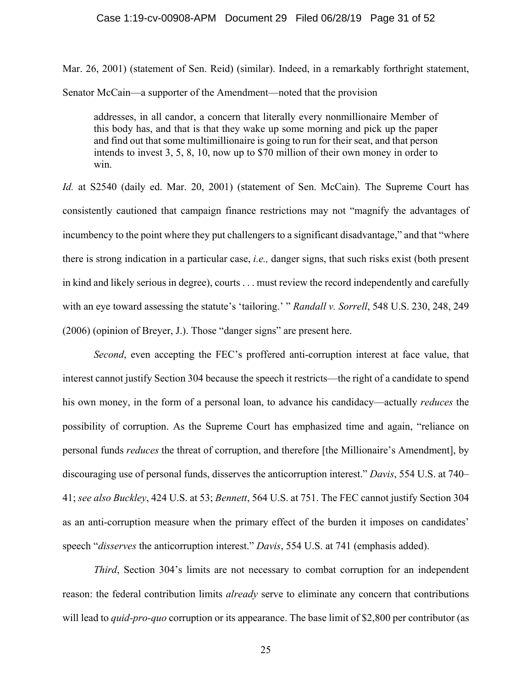#### Case 1:19-cv-00908-APM Document 29 Filed 06/28/19 Page 31 of 52

Mar. 26, 2001) (statement of Sen. Reid) (similar). Indeed, in a remarkably forthright statement, Senator McCain—a supporter of the Amendment—noted that the provision

addresses, in all candor, a concern that literally every nonmillionaire Member of this body has, and that is that they wake up some morning and pick up the paper and find out that some multimillionaire is going to run for their seat, and that person intends to invest 3, 5, 8, 10, now up to \$70 million of their own money in order to win.

*Id.* at S2540 (daily ed. Mar. 20, 2001) (statement of Sen. McCain). The Supreme Court has consistently cautioned that campaign finance restrictions may not "magnify the advantages of incumbency to the point where they put challengers to a significant disadvantage," and that "where there is strong indication in a particular case, *i.e.,* danger signs, that such risks exist (both present in kind and likely serious in degree), courts . . . must review the record independently and carefully with an eye toward assessing the statute's 'tailoring.' " *Randall v. Sorrell*, 548 U.S. 230, 248, 249 (2006) (opinion of Breyer, J.). Those "danger signs" are present here.

*Second*, even accepting the FEC's proffered anti-corruption interest at face value, that interest cannot justify Section 304 because the speech it restricts—the right of a candidate to spend his own money, in the form of a personal loan, to advance his candidacy—actually *reduces* the possibility of corruption. As the Supreme Court has emphasized time and again, "reliance on personal funds *reduces* the threat of corruption, and therefore [the Millionaire's Amendment], by discouraging use of personal funds, disserves the anticorruption interest." *Davis*, 554 U.S. at 740– 41; *see also Buckley*, 424 U.S. at 53; *Bennett*, 564 U.S. at 751. The FEC cannot justify Section 304 as an anti-corruption measure when the primary effect of the burden it imposes on candidates' speech "*disserves* the anticorruption interest." *Davis*, 554 U.S. at 741 (emphasis added).

*Third*, Section 304's limits are not necessary to combat corruption for an independent reason: the federal contribution limits *already* serve to eliminate any concern that contributions will lead to *quid-pro-quo* corruption or its appearance. The base limit of \$2,800 per contributor (as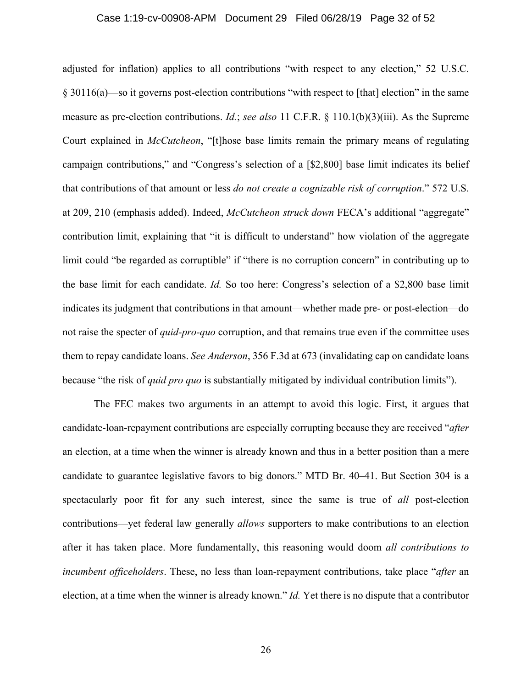#### Case 1:19-cv-00908-APM Document 29 Filed 06/28/19 Page 32 of 52

adjusted for inflation) applies to all contributions "with respect to any election," 52 U.S.C. § 30116(a)—so it governs post-election contributions "with respect to [that] election" in the same measure as pre-election contributions. *Id.*; *see also* 11 C.F.R. § 110.1(b)(3)(iii). As the Supreme Court explained in *McCutcheon*, "[t]hose base limits remain the primary means of regulating campaign contributions," and "Congress's selection of a [\$2,800] base limit indicates its belief that contributions of that amount or less *do not create a cognizable risk of corruption*." 572 U.S. at 209, 210 (emphasis added). Indeed, *McCutcheon struck down* FECA's additional "aggregate" contribution limit, explaining that "it is difficult to understand" how violation of the aggregate limit could "be regarded as corruptible" if "there is no corruption concern" in contributing up to the base limit for each candidate. *Id.* So too here: Congress's selection of a \$2,800 base limit indicates its judgment that contributions in that amount—whether made pre- or post-election—do not raise the specter of *quid-pro-quo* corruption, and that remains true even if the committee uses them to repay candidate loans. *See Anderson*, 356 F.3d at 673 (invalidating cap on candidate loans because "the risk of *quid pro quo* is substantially mitigated by individual contribution limits").

The FEC makes two arguments in an attempt to avoid this logic. First, it argues that candidate-loan-repayment contributions are especially corrupting because they are received "*after*  an election, at a time when the winner is already known and thus in a better position than a mere candidate to guarantee legislative favors to big donors." MTD Br. 40–41. But Section 304 is a spectacularly poor fit for any such interest, since the same is true of *all* post-election contributions—yet federal law generally *allows* supporters to make contributions to an election after it has taken place. More fundamentally, this reasoning would doom *all contributions to incumbent officeholders*. These, no less than loan-repayment contributions, take place "*after* an election, at a time when the winner is already known." *Id.* Yet there is no dispute that a contributor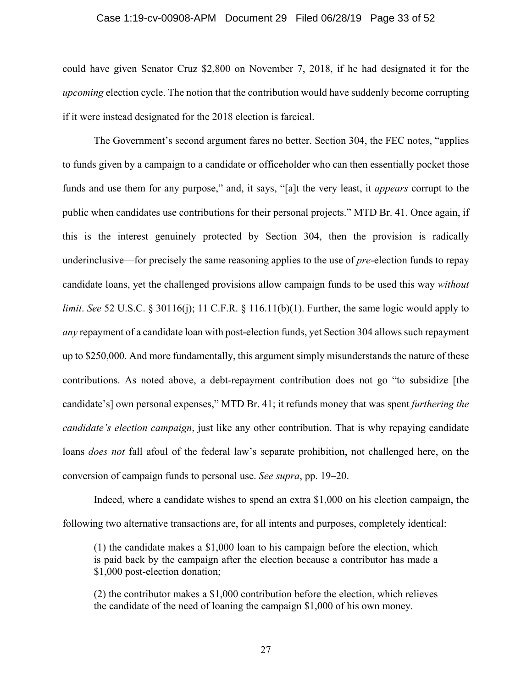#### Case 1:19-cv-00908-APM Document 29 Filed 06/28/19 Page 33 of 52

could have given Senator Cruz \$2,800 on November 7, 2018, if he had designated it for the *upcoming* election cycle. The notion that the contribution would have suddenly become corrupting if it were instead designated for the 2018 election is farcical.

The Government's second argument fares no better. Section 304, the FEC notes, "applies to funds given by a campaign to a candidate or officeholder who can then essentially pocket those funds and use them for any purpose," and, it says, "[a]t the very least, it *appears* corrupt to the public when candidates use contributions for their personal projects." MTD Br. 41. Once again, if this is the interest genuinely protected by Section 304, then the provision is radically underinclusive—for precisely the same reasoning applies to the use of *pre*-election funds to repay candidate loans, yet the challenged provisions allow campaign funds to be used this way *without limit. See* 52 U.S.C. § 30116(j); 11 C.F.R. § 116.11(b)(1). Further, the same logic would apply to *any* repayment of a candidate loan with post-election funds, yet Section 304 allows such repayment up to \$250,000. And more fundamentally, this argument simply misunderstands the nature of these contributions. As noted above, a debt-repayment contribution does not go "to subsidize [the candidate's] own personal expenses," MTD Br. 41; it refunds money that was spent *furthering the candidate's election campaign*, just like any other contribution. That is why repaying candidate loans *does not* fall afoul of the federal law's separate prohibition, not challenged here, on the conversion of campaign funds to personal use. *See supra*, pp. 19–20.

Indeed, where a candidate wishes to spend an extra \$1,000 on his election campaign, the following two alternative transactions are, for all intents and purposes, completely identical:

(1) the candidate makes a \$1,000 loan to his campaign before the election, which is paid back by the campaign after the election because a contributor has made a \$1,000 post-election donation;

(2) the contributor makes a \$1,000 contribution before the election, which relieves the candidate of the need of loaning the campaign \$1,000 of his own money.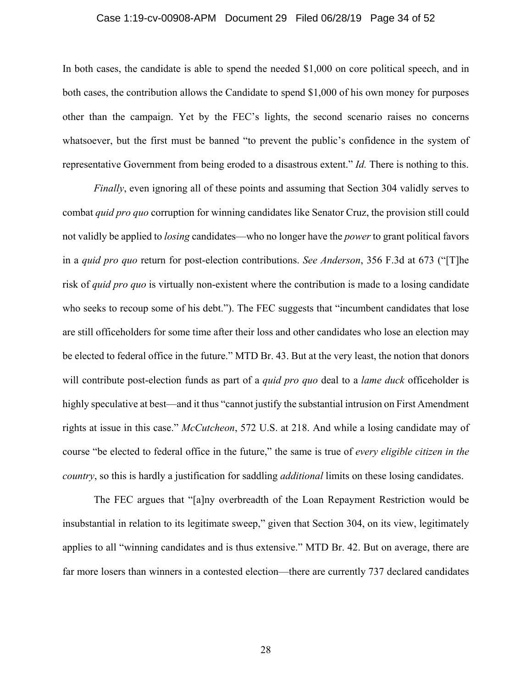#### Case 1:19-cv-00908-APM Document 29 Filed 06/28/19 Page 34 of 52

In both cases, the candidate is able to spend the needed \$1,000 on core political speech, and in both cases, the contribution allows the Candidate to spend \$1,000 of his own money for purposes other than the campaign. Yet by the FEC's lights, the second scenario raises no concerns whatsoever, but the first must be banned "to prevent the public's confidence in the system of representative Government from being eroded to a disastrous extent." *Id.* There is nothing to this.

*Finally*, even ignoring all of these points and assuming that Section 304 validly serves to combat *quid pro quo* corruption for winning candidates like Senator Cruz, the provision still could not validly be applied to *losing* candidates—who no longer have the *power* to grant political favors in a *quid pro quo* return for post-election contributions. *See Anderson*, 356 F.3d at 673 ("[T]he risk of *quid pro quo* is virtually non-existent where the contribution is made to a losing candidate who seeks to recoup some of his debt."). The FEC suggests that "incumbent candidates that lose are still officeholders for some time after their loss and other candidates who lose an election may be elected to federal office in the future." MTD Br. 43. But at the very least, the notion that donors will contribute post-election funds as part of a *quid pro quo* deal to a *lame duck* officeholder is highly speculative at best—and it thus "cannot justify the substantial intrusion on First Amendment rights at issue in this case." *McCutcheon*, 572 U.S. at 218. And while a losing candidate may of course "be elected to federal office in the future," the same is true of *every eligible citizen in the country*, so this is hardly a justification for saddling *additional* limits on these losing candidates.

The FEC argues that "[a]ny overbreadth of the Loan Repayment Restriction would be insubstantial in relation to its legitimate sweep," given that Section 304, on its view, legitimately applies to all "winning candidates and is thus extensive." MTD Br. 42. But on average, there are far more losers than winners in a contested election—there are currently 737 declared candidates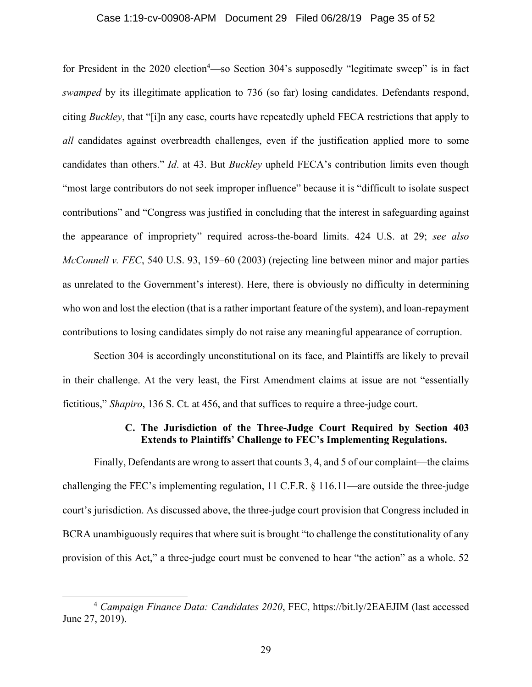#### Case 1:19-cv-00908-APM Document 29 Filed 06/28/19 Page 35 of 52

for President in the 2020 election<sup>4</sup>—so Section 304's supposedly "legitimate sweep" is in fact *swamped* by its illegitimate application to 736 (so far) losing candidates. Defendants respond, citing *Buckley*, that "[i]n any case, courts have repeatedly upheld FECA restrictions that apply to *all* candidates against overbreadth challenges, even if the justification applied more to some candidates than others." *Id*. at 43. But *Buckley* upheld FECA's contribution limits even though "most large contributors do not seek improper influence" because it is "difficult to isolate suspect contributions" and "Congress was justified in concluding that the interest in safeguarding against the appearance of impropriety" required across-the-board limits. 424 U.S. at 29; *see also McConnell v. FEC*, 540 U.S. 93, 159–60 (2003) (rejecting line between minor and major parties as unrelated to the Government's interest). Here, there is obviously no difficulty in determining who won and lost the election (that is a rather important feature of the system), and loan-repayment contributions to losing candidates simply do not raise any meaningful appearance of corruption.

Section 304 is accordingly unconstitutional on its face, and Plaintiffs are likely to prevail in their challenge. At the very least, the First Amendment claims at issue are not "essentially fictitious," *Shapiro*, 136 S. Ct. at 456, and that suffices to require a three-judge court.

### **C. The Jurisdiction of the Three-Judge Court Required by Section 403 Extends to Plaintiffs' Challenge to FEC's Implementing Regulations.**

Finally, Defendants are wrong to assert that counts 3, 4, and 5 of our complaint—the claims challenging the FEC's implementing regulation, 11 C.F.R. § 116.11—are outside the three-judge court's jurisdiction. As discussed above, the three-judge court provision that Congress included in BCRA unambiguously requires that where suit is brought "to challenge the constitutionality of any provision of this Act," a three-judge court must be convened to hear "the action" as a whole. 52

 <sup>4</sup> *Campaign Finance Data: Candidates 2020*, FEC, https://bit.ly/2EAEJIM (last accessed June 27, 2019).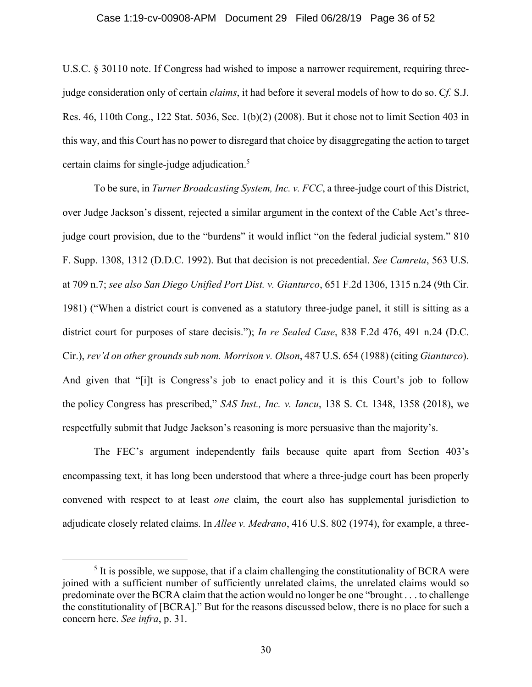#### Case 1:19-cv-00908-APM Document 29 Filed 06/28/19 Page 36 of 52

U.S.C. § 30110 note. If Congress had wished to impose a narrower requirement, requiring threejudge consideration only of certain *claims*, it had before it several models of how to do so. C*f.* S.J. Res. 46, 110th Cong., 122 Stat. 5036, Sec. 1(b)(2) (2008). But it chose not to limit Section 403 in this way, and this Court has no power to disregard that choice by disaggregating the action to target certain claims for single-judge adjudication.<sup>5</sup>

To be sure, in *Turner Broadcasting System, Inc. v. FCC*, a three-judge court of this District, over Judge Jackson's dissent, rejected a similar argument in the context of the Cable Act's threejudge court provision, due to the "burdens" it would inflict "on the federal judicial system." 810 F. Supp. 1308, 1312 (D.D.C. 1992). But that decision is not precedential. *See Camreta*, 563 U.S. at 709 n.7; *see also San Diego Unified Port Dist. v. Gianturco*, 651 F.2d 1306, 1315 n.24 (9th Cir. 1981) ("When a district court is convened as a statutory three-judge panel, it still is sitting as a district court for purposes of stare decisis."); *In re Sealed Case*, 838 F.2d 476, 491 n.24 (D.C. Cir.), *rev'd on other grounds sub nom. Morrison v. Olson*, 487 U.S. 654 (1988) (citing *Gianturco*). And given that "[i]t is Congress's job to enact policy and it is this Court's job to follow the policy Congress has prescribed," *SAS Inst., Inc. v. Iancu*, 138 S. Ct. 1348, 1358 (2018), we respectfully submit that Judge Jackson's reasoning is more persuasive than the majority's.

The FEC's argument independently fails because quite apart from Section 403's encompassing text, it has long been understood that where a three-judge court has been properly convened with respect to at least *one* claim, the court also has supplemental jurisdiction to adjudicate closely related claims. In *Allee v. Medrano*, 416 U.S. 802 (1974), for example, a three-

 $\frac{1}{5}$  $<sup>5</sup>$  It is possible, we suppose, that if a claim challenging the constitutionality of BCRA were</sup> joined with a sufficient number of sufficiently unrelated claims, the unrelated claims would so predominate over the BCRA claim that the action would no longer be one "brought . . . to challenge the constitutionality of [BCRA]." But for the reasons discussed below, there is no place for such a concern here. *See infra*, p. 31.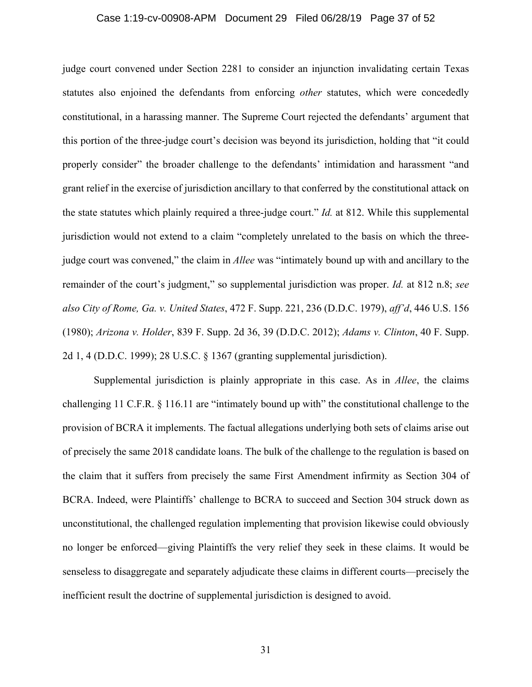#### Case 1:19-cv-00908-APM Document 29 Filed 06/28/19 Page 37 of 52

judge court convened under Section 2281 to consider an injunction invalidating certain Texas statutes also enjoined the defendants from enforcing *other* statutes, which were concededly constitutional, in a harassing manner. The Supreme Court rejected the defendants' argument that this portion of the three-judge court's decision was beyond its jurisdiction, holding that "it could properly consider" the broader challenge to the defendants' intimidation and harassment "and grant relief in the exercise of jurisdiction ancillary to that conferred by the constitutional attack on the state statutes which plainly required a three-judge court." *Id.* at 812. While this supplemental jurisdiction would not extend to a claim "completely unrelated to the basis on which the threejudge court was convened," the claim in *Allee* was "intimately bound up with and ancillary to the remainder of the court's judgment," so supplemental jurisdiction was proper. *Id.* at 812 n.8; *see also City of Rome, Ga. v. United States*, 472 F. Supp. 221, 236 (D.D.C. 1979), *aff'd*, 446 U.S. 156 (1980); *Arizona v. Holder*, 839 F. Supp. 2d 36, 39 (D.D.C. 2012); *Adams v. Clinton*, 40 F. Supp. 2d 1, 4 (D.D.C. 1999); 28 U.S.C. § 1367 (granting supplemental jurisdiction).

Supplemental jurisdiction is plainly appropriate in this case. As in *Allee*, the claims challenging 11 C.F.R. § 116.11 are "intimately bound up with" the constitutional challenge to the provision of BCRA it implements. The factual allegations underlying both sets of claims arise out of precisely the same 2018 candidate loans. The bulk of the challenge to the regulation is based on the claim that it suffers from precisely the same First Amendment infirmity as Section 304 of BCRA. Indeed, were Plaintiffs' challenge to BCRA to succeed and Section 304 struck down as unconstitutional, the challenged regulation implementing that provision likewise could obviously no longer be enforced—giving Plaintiffs the very relief they seek in these claims. It would be senseless to disaggregate and separately adjudicate these claims in different courts—precisely the inefficient result the doctrine of supplemental jurisdiction is designed to avoid.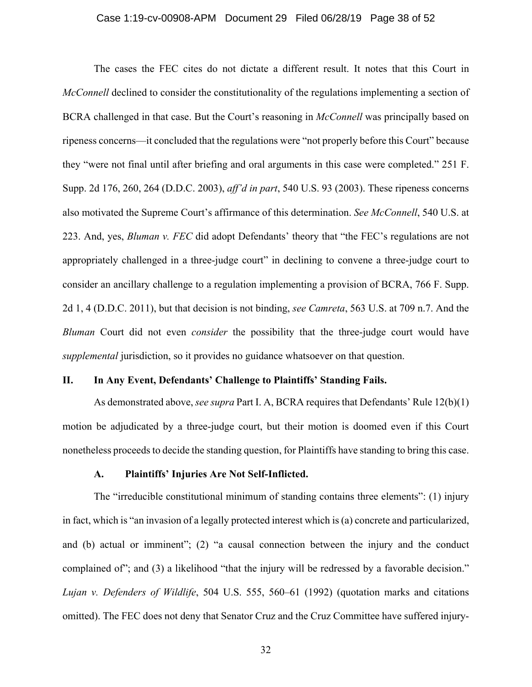#### Case 1:19-cv-00908-APM Document 29 Filed 06/28/19 Page 38 of 52

The cases the FEC cites do not dictate a different result. It notes that this Court in *McConnell* declined to consider the constitutionality of the regulations implementing a section of BCRA challenged in that case. But the Court's reasoning in *McConnell* was principally based on ripeness concerns—it concluded that the regulations were "not properly before this Court" because they "were not final until after briefing and oral arguments in this case were completed." 251 F. Supp. 2d 176, 260, 264 (D.D.C. 2003), *aff'd in part*, 540 U.S. 93 (2003). These ripeness concerns also motivated the Supreme Court's affirmance of this determination. *See McConnell*, 540 U.S. at 223. And, yes, *Bluman v. FEC* did adopt Defendants' theory that "the FEC's regulations are not appropriately challenged in a three-judge court" in declining to convene a three-judge court to consider an ancillary challenge to a regulation implementing a provision of BCRA, 766 F. Supp. 2d 1, 4 (D.D.C. 2011), but that decision is not binding, *see Camreta*, 563 U.S. at 709 n.7. And the *Bluman* Court did not even *consider* the possibility that the three-judge court would have *supplemental* jurisdiction, so it provides no guidance whatsoever on that question.

## **II. In Any Event, Defendants' Challenge to Plaintiffs' Standing Fails.**

As demonstrated above, *see supra* Part I. A, BCRA requires that Defendants' Rule 12(b)(1) motion be adjudicated by a three-judge court, but their motion is doomed even if this Court nonetheless proceeds to decide the standing question, for Plaintiffs have standing to bring this case.

## **A. Plaintiffs' Injuries Are Not Self-Inflicted.**

The "irreducible constitutional minimum of standing contains three elements": (1) injury in fact, which is "an invasion of a legally protected interest which is (a) concrete and particularized, and (b) actual or imminent"; (2) "a causal connection between the injury and the conduct complained of"; and (3) a likelihood "that the injury will be redressed by a favorable decision." *Lujan v. Defenders of Wildlife*, 504 U.S. 555, 560–61 (1992) (quotation marks and citations omitted). The FEC does not deny that Senator Cruz and the Cruz Committee have suffered injury-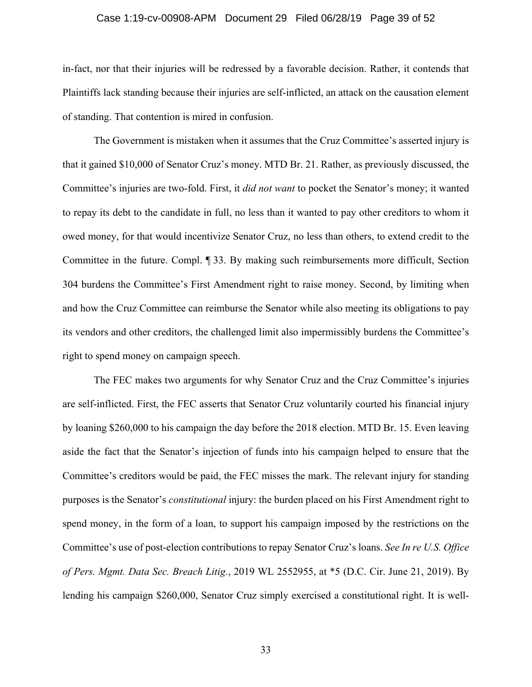#### Case 1:19-cv-00908-APM Document 29 Filed 06/28/19 Page 39 of 52

in-fact, nor that their injuries will be redressed by a favorable decision. Rather, it contends that Plaintiffs lack standing because their injuries are self-inflicted, an attack on the causation element of standing. That contention is mired in confusion.

The Government is mistaken when it assumes that the Cruz Committee's asserted injury is that it gained \$10,000 of Senator Cruz's money. MTD Br. 21. Rather, as previously discussed, the Committee's injuries are two-fold. First, it *did not want* to pocket the Senator's money; it wanted to repay its debt to the candidate in full, no less than it wanted to pay other creditors to whom it owed money, for that would incentivize Senator Cruz, no less than others, to extend credit to the Committee in the future. Compl. ¶ 33. By making such reimbursements more difficult, Section 304 burdens the Committee's First Amendment right to raise money. Second, by limiting when and how the Cruz Committee can reimburse the Senator while also meeting its obligations to pay its vendors and other creditors, the challenged limit also impermissibly burdens the Committee's right to spend money on campaign speech.

The FEC makes two arguments for why Senator Cruz and the Cruz Committee's injuries are self-inflicted. First, the FEC asserts that Senator Cruz voluntarily courted his financial injury by loaning \$260,000 to his campaign the day before the 2018 election. MTD Br. 15. Even leaving aside the fact that the Senator's injection of funds into his campaign helped to ensure that the Committee's creditors would be paid, the FEC misses the mark. The relevant injury for standing purposes is the Senator's *constitutional* injury: the burden placed on his First Amendment right to spend money, in the form of a loan, to support his campaign imposed by the restrictions on the Committee's use of post-election contributions to repay Senator Cruz's loans. *See In re U.S. Office of Pers. Mgmt. Data Sec. Breach Litig.*, 2019 WL 2552955, at \*5 (D.C. Cir. June 21, 2019). By lending his campaign \$260,000, Senator Cruz simply exercised a constitutional right. It is well-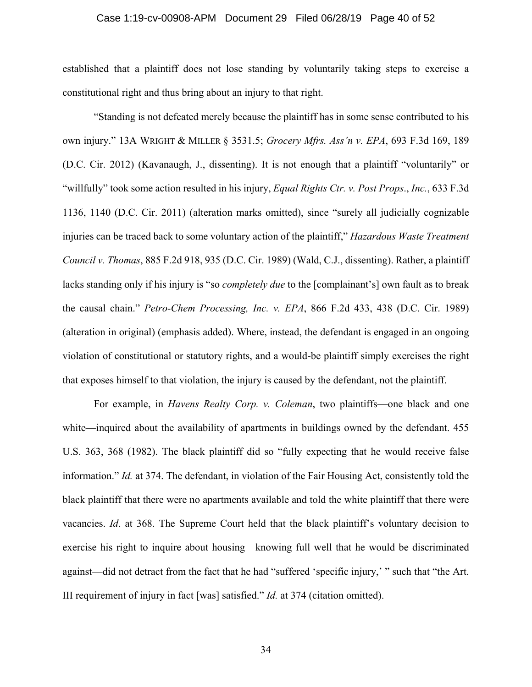#### Case 1:19-cv-00908-APM Document 29 Filed 06/28/19 Page 40 of 52

established that a plaintiff does not lose standing by voluntarily taking steps to exercise a constitutional right and thus bring about an injury to that right.

"Standing is not defeated merely because the plaintiff has in some sense contributed to his own injury." 13A WRIGHT & MILLER § 3531.5; *Grocery Mfrs. Ass'n v. EPA*, 693 F.3d 169, 189 (D.C. Cir. 2012) (Kavanaugh, J., dissenting). It is not enough that a plaintiff "voluntarily" or "willfully" took some action resulted in his injury, *Equal Rights Ctr. v. Post Props*., *Inc.*, 633 F.3d 1136, 1140 (D.C. Cir. 2011) (alteration marks omitted), since "surely all judicially cognizable injuries can be traced back to some voluntary action of the plaintiff," *Hazardous Waste Treatment Council v. Thomas*, 885 F.2d 918, 935 (D.C. Cir. 1989) (Wald, C.J., dissenting). Rather, a plaintiff lacks standing only if his injury is "so *completely due* to the [complainant's] own fault as to break the causal chain." *Petro-Chem Processing, Inc. v. EPA*, 866 F.2d 433, 438 (D.C. Cir. 1989) (alteration in original) (emphasis added). Where, instead, the defendant is engaged in an ongoing violation of constitutional or statutory rights, and a would-be plaintiff simply exercises the right that exposes himself to that violation, the injury is caused by the defendant, not the plaintiff.

For example, in *Havens Realty Corp. v. Coleman*, two plaintiffs—one black and one white—inquired about the availability of apartments in buildings owned by the defendant. 455 U.S. 363, 368 (1982). The black plaintiff did so "fully expecting that he would receive false information." *Id.* at 374. The defendant, in violation of the Fair Housing Act, consistently told the black plaintiff that there were no apartments available and told the white plaintiff that there were vacancies. *Id*. at 368. The Supreme Court held that the black plaintiff's voluntary decision to exercise his right to inquire about housing—knowing full well that he would be discriminated against—did not detract from the fact that he had "suffered 'specific injury,' " such that "the Art. III requirement of injury in fact [was] satisfied." *Id.* at 374 (citation omitted).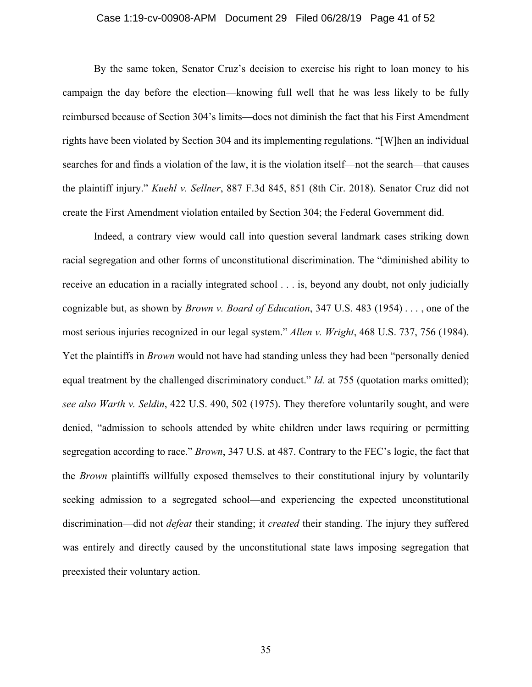#### Case 1:19-cv-00908-APM Document 29 Filed 06/28/19 Page 41 of 52

By the same token, Senator Cruz's decision to exercise his right to loan money to his campaign the day before the election—knowing full well that he was less likely to be fully reimbursed because of Section 304's limits—does not diminish the fact that his First Amendment rights have been violated by Section 304 and its implementing regulations. "[W]hen an individual searches for and finds a violation of the law, it is the violation itself—not the search—that causes the plaintiff injury." *Kuehl v. Sellner*, 887 F.3d 845, 851 (8th Cir. 2018). Senator Cruz did not create the First Amendment violation entailed by Section 304; the Federal Government did.

Indeed, a contrary view would call into question several landmark cases striking down racial segregation and other forms of unconstitutional discrimination. The "diminished ability to receive an education in a racially integrated school . . . is, beyond any doubt, not only judicially cognizable but, as shown by *Brown v. Board of Education*, 347 U.S. 483 (1954) . . . , one of the most serious injuries recognized in our legal system." *Allen v. Wright*, 468 U.S. 737, 756 (1984). Yet the plaintiffs in *Brown* would not have had standing unless they had been "personally denied equal treatment by the challenged discriminatory conduct." *Id.* at 755 (quotation marks omitted); *see also Warth v. Seldin*, 422 U.S. 490, 502 (1975). They therefore voluntarily sought, and were denied, "admission to schools attended by white children under laws requiring or permitting segregation according to race." *Brown*, 347 U.S. at 487. Contrary to the FEC's logic, the fact that the *Brown* plaintiffs willfully exposed themselves to their constitutional injury by voluntarily seeking admission to a segregated school—and experiencing the expected unconstitutional discrimination—did not *defeat* their standing; it *created* their standing. The injury they suffered was entirely and directly caused by the unconstitutional state laws imposing segregation that preexisted their voluntary action.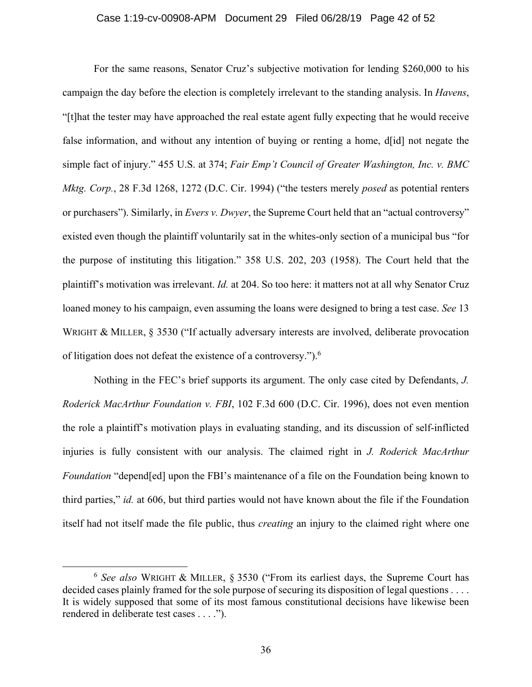#### Case 1:19-cv-00908-APM Document 29 Filed 06/28/19 Page 42 of 52

For the same reasons, Senator Cruz's subjective motivation for lending \$260,000 to his campaign the day before the election is completely irrelevant to the standing analysis. In *Havens*, "[t]hat the tester may have approached the real estate agent fully expecting that he would receive false information, and without any intention of buying or renting a home, d[id] not negate the simple fact of injury." 455 U.S. at 374; *Fair Emp't Council of Greater Washington, Inc. v. BMC Mktg. Corp.*, 28 F.3d 1268, 1272 (D.C. Cir. 1994) ("the testers merely *posed* as potential renters or purchasers"). Similarly, in *Evers v. Dwyer*, the Supreme Court held that an "actual controversy" existed even though the plaintiff voluntarily sat in the whites-only section of a municipal bus "for the purpose of instituting this litigation." 358 U.S. 202, 203 (1958). The Court held that the plaintiff's motivation was irrelevant. *Id.* at 204. So too here: it matters not at all why Senator Cruz loaned money to his campaign, even assuming the loans were designed to bring a test case. *See* 13 WRIGHT & MILLER,  $\S$  3530 ("If actually adversary interests are involved, deliberate provocation of litigation does not defeat the existence of a controversy.").6

Nothing in the FEC's brief supports its argument. The only case cited by Defendants, *J. Roderick MacArthur Foundation v. FBI*, 102 F.3d 600 (D.C. Cir. 1996), does not even mention the role a plaintiff's motivation plays in evaluating standing, and its discussion of self-inflicted injuries is fully consistent with our analysis. The claimed right in *J. Roderick MacArthur Foundation* "depend[ed] upon the FBI's maintenance of a file on the Foundation being known to third parties," *id.* at 606, but third parties would not have known about the file if the Foundation itself had not itself made the file public, thus *creating* an injury to the claimed right where one

 <sup>6</sup> *See also* WRIGHT & MILLER, § 3530 ("From its earliest days, the Supreme Court has decided cases plainly framed for the sole purpose of securing its disposition of legal questions . . . . It is widely supposed that some of its most famous constitutional decisions have likewise been rendered in deliberate test cases . . . .").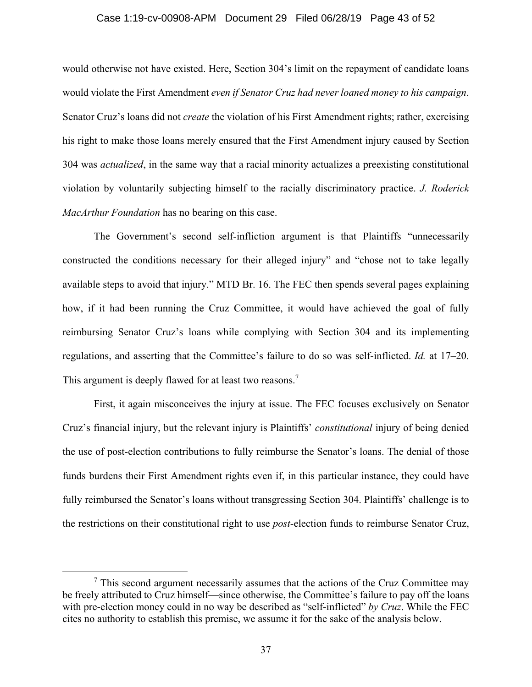#### Case 1:19-cv-00908-APM Document 29 Filed 06/28/19 Page 43 of 52

would otherwise not have existed. Here, Section 304's limit on the repayment of candidate loans would violate the First Amendment *even if Senator Cruz had never loaned money to his campaign*. Senator Cruz's loans did not *create* the violation of his First Amendment rights; rather, exercising his right to make those loans merely ensured that the First Amendment injury caused by Section 304 was *actualized*, in the same way that a racial minority actualizes a preexisting constitutional violation by voluntarily subjecting himself to the racially discriminatory practice. *J. Roderick MacArthur Foundation* has no bearing on this case.

The Government's second self-infliction argument is that Plaintiffs "unnecessarily constructed the conditions necessary for their alleged injury" and "chose not to take legally available steps to avoid that injury." MTD Br. 16. The FEC then spends several pages explaining how, if it had been running the Cruz Committee, it would have achieved the goal of fully reimbursing Senator Cruz's loans while complying with Section 304 and its implementing regulations, and asserting that the Committee's failure to do so was self-inflicted. *Id.* at 17–20. This argument is deeply flawed for at least two reasons.<sup>7</sup>

First, it again misconceives the injury at issue. The FEC focuses exclusively on Senator Cruz's financial injury, but the relevant injury is Plaintiffs' *constitutional* injury of being denied the use of post-election contributions to fully reimburse the Senator's loans. The denial of those funds burdens their First Amendment rights even if, in this particular instance, they could have fully reimbursed the Senator's loans without transgressing Section 304. Plaintiffs' challenge is to the restrictions on their constitutional right to use *post*-election funds to reimburse Senator Cruz,

 <sup>7</sup>  $\frac{7}{7}$  This second argument necessarily assumes that the actions of the Cruz Committee may be freely attributed to Cruz himself—since otherwise, the Committee's failure to pay off the loans with pre-election money could in no way be described as "self-inflicted" *by Cruz*. While the FEC cites no authority to establish this premise, we assume it for the sake of the analysis below.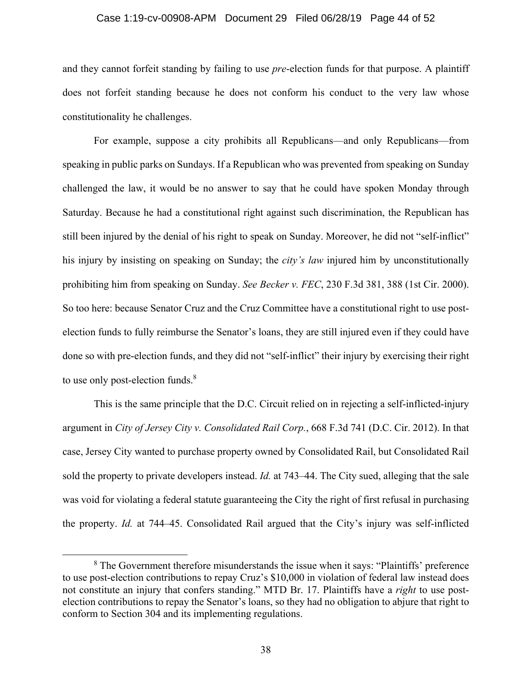#### Case 1:19-cv-00908-APM Document 29 Filed 06/28/19 Page 44 of 52

and they cannot forfeit standing by failing to use *pre*-election funds for that purpose. A plaintiff does not forfeit standing because he does not conform his conduct to the very law whose constitutionality he challenges.

For example, suppose a city prohibits all Republicans—and only Republicans—from speaking in public parks on Sundays. If a Republican who was prevented from speaking on Sunday challenged the law, it would be no answer to say that he could have spoken Monday through Saturday. Because he had a constitutional right against such discrimination, the Republican has still been injured by the denial of his right to speak on Sunday. Moreover, he did not "self-inflict" his injury by insisting on speaking on Sunday; the *city's law* injured him by unconstitutionally prohibiting him from speaking on Sunday. *See Becker v. FEC*, 230 F.3d 381, 388 (1st Cir. 2000). So too here: because Senator Cruz and the Cruz Committee have a constitutional right to use postelection funds to fully reimburse the Senator's loans, they are still injured even if they could have done so with pre-election funds, and they did not "self-inflict" their injury by exercising their right to use only post-election funds.<sup>8</sup>

This is the same principle that the D.C. Circuit relied on in rejecting a self-inflicted-injury argument in *City of Jersey City v. Consolidated Rail Corp.*, 668 F.3d 741 (D.C. Cir. 2012). In that case, Jersey City wanted to purchase property owned by Consolidated Rail, but Consolidated Rail sold the property to private developers instead. *Id.* at 743–44. The City sued, alleging that the sale was void for violating a federal statute guaranteeing the City the right of first refusal in purchasing the property. *Id.* at 744–45. Consolidated Rail argued that the City's injury was self-inflicted

 <sup>8</sup> <sup>8</sup> The Government therefore misunderstands the issue when it says: "Plaintiffs' preference to use post-election contributions to repay Cruz's \$10,000 in violation of federal law instead does not constitute an injury that confers standing." MTD Br. 17. Plaintiffs have a *right* to use postelection contributions to repay the Senator's loans, so they had no obligation to abjure that right to conform to Section 304 and its implementing regulations.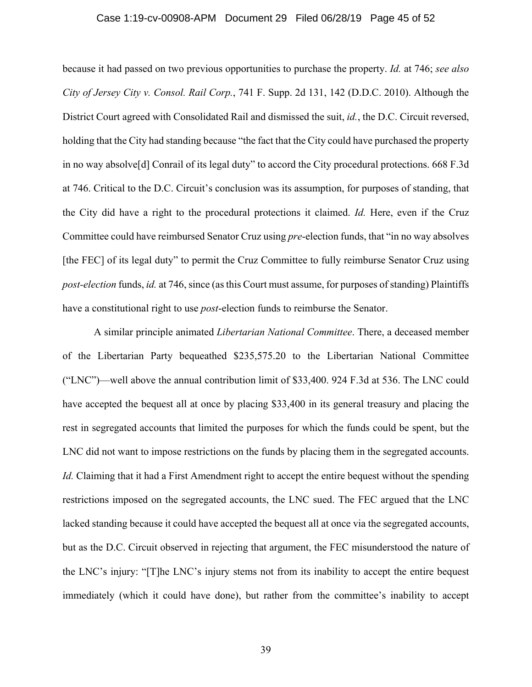#### Case 1:19-cv-00908-APM Document 29 Filed 06/28/19 Page 45 of 52

because it had passed on two previous opportunities to purchase the property. *Id.* at 746; *see also City of Jersey City v. Consol. Rail Corp.*, 741 F. Supp. 2d 131, 142 (D.D.C. 2010). Although the District Court agreed with Consolidated Rail and dismissed the suit, *id.*, the D.C. Circuit reversed, holding that the City had standing because "the fact that the City could have purchased the property in no way absolve[d] Conrail of its legal duty" to accord the City procedural protections. 668 F.3d at 746. Critical to the D.C. Circuit's conclusion was its assumption, for purposes of standing, that the City did have a right to the procedural protections it claimed. *Id.* Here, even if the Cruz Committee could have reimbursed Senator Cruz using *pre*-election funds, that "in no way absolves [the FEC] of its legal duty" to permit the Cruz Committee to fully reimburse Senator Cruz using *post-election* funds, *id.* at 746, since (as this Court must assume, for purposes of standing) Plaintiffs have a constitutional right to use *post*-election funds to reimburse the Senator.

A similar principle animated *Libertarian National Committee*. There, a deceased member of the Libertarian Party bequeathed \$235,575.20 to the Libertarian National Committee ("LNC")—well above the annual contribution limit of \$33,400. 924 F.3d at 536. The LNC could have accepted the bequest all at once by placing \$33,400 in its general treasury and placing the rest in segregated accounts that limited the purposes for which the funds could be spent, but the LNC did not want to impose restrictions on the funds by placing them in the segregated accounts. *Id.* Claiming that it had a First Amendment right to accept the entire bequest without the spending restrictions imposed on the segregated accounts, the LNC sued. The FEC argued that the LNC lacked standing because it could have accepted the bequest all at once via the segregated accounts, but as the D.C. Circuit observed in rejecting that argument, the FEC misunderstood the nature of the LNC's injury: "[T]he LNC's injury stems not from its inability to accept the entire bequest immediately (which it could have done), but rather from the committee's inability to accept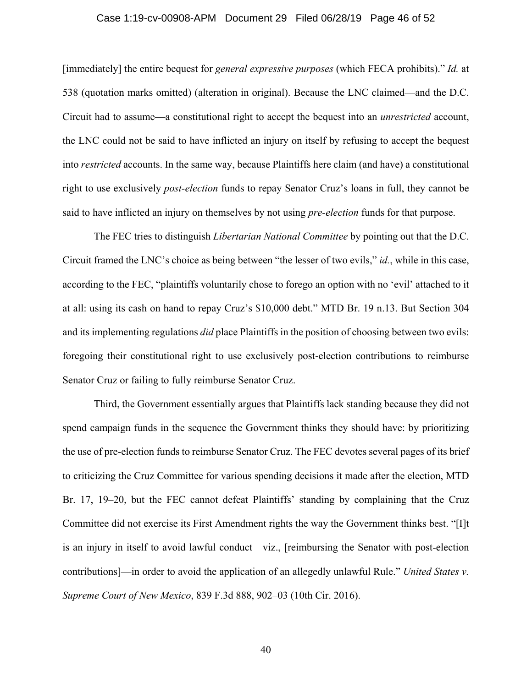#### Case 1:19-cv-00908-APM Document 29 Filed 06/28/19 Page 46 of 52

[immediately] the entire bequest for *general expressive purposes* (which FECA prohibits)." *Id.* at 538 (quotation marks omitted) (alteration in original). Because the LNC claimed—and the D.C. Circuit had to assume—a constitutional right to accept the bequest into an *unrestricted* account, the LNC could not be said to have inflicted an injury on itself by refusing to accept the bequest into *restricted* accounts. In the same way, because Plaintiffs here claim (and have) a constitutional right to use exclusively *post-election* funds to repay Senator Cruz's loans in full, they cannot be said to have inflicted an injury on themselves by not using *pre-election* funds for that purpose.

The FEC tries to distinguish *Libertarian National Committee* by pointing out that the D.C. Circuit framed the LNC's choice as being between "the lesser of two evils," *id.*, while in this case, according to the FEC, "plaintiffs voluntarily chose to forego an option with no 'evil' attached to it at all: using its cash on hand to repay Cruz's \$10,000 debt." MTD Br. 19 n.13. But Section 304 and its implementing regulations *did* place Plaintiffs in the position of choosing between two evils: foregoing their constitutional right to use exclusively post-election contributions to reimburse Senator Cruz or failing to fully reimburse Senator Cruz.

Third, the Government essentially argues that Plaintiffs lack standing because they did not spend campaign funds in the sequence the Government thinks they should have: by prioritizing the use of pre-election funds to reimburse Senator Cruz. The FEC devotes several pages of its brief to criticizing the Cruz Committee for various spending decisions it made after the election, MTD Br. 17, 19–20, but the FEC cannot defeat Plaintiffs' standing by complaining that the Cruz Committee did not exercise its First Amendment rights the way the Government thinks best. "[I]t is an injury in itself to avoid lawful conduct—viz., [reimbursing the Senator with post-election contributions]—in order to avoid the application of an allegedly unlawful Rule." *United States v. Supreme Court of New Mexico*, 839 F.3d 888, 902–03 (10th Cir. 2016).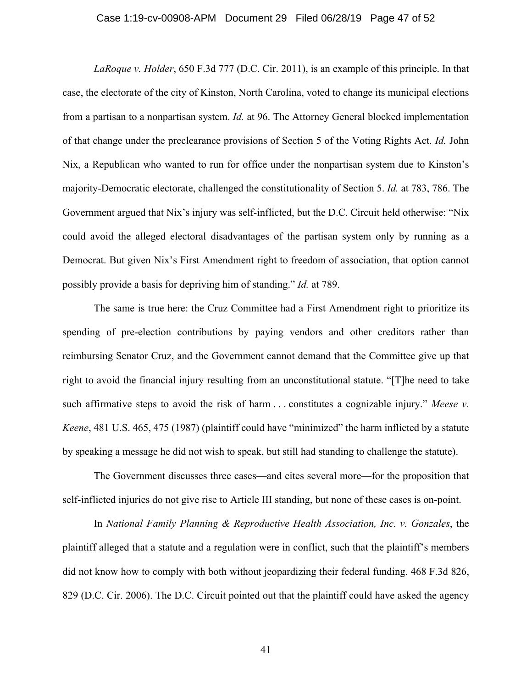#### Case 1:19-cv-00908-APM Document 29 Filed 06/28/19 Page 47 of 52

*LaRoque v. Holder*, 650 F.3d 777 (D.C. Cir. 2011), is an example of this principle. In that case, the electorate of the city of Kinston, North Carolina, voted to change its municipal elections from a partisan to a nonpartisan system. *Id.* at 96. The Attorney General blocked implementation of that change under the preclearance provisions of Section 5 of the Voting Rights Act. *Id.* John Nix, a Republican who wanted to run for office under the nonpartisan system due to Kinston's majority-Democratic electorate, challenged the constitutionality of Section 5. *Id.* at 783, 786. The Government argued that Nix's injury was self-inflicted, but the D.C. Circuit held otherwise: "Nix could avoid the alleged electoral disadvantages of the partisan system only by running as a Democrat. But given Nix's First Amendment right to freedom of association, that option cannot possibly provide a basis for depriving him of standing." *Id.* at 789.

The same is true here: the Cruz Committee had a First Amendment right to prioritize its spending of pre-election contributions by paying vendors and other creditors rather than reimbursing Senator Cruz, and the Government cannot demand that the Committee give up that right to avoid the financial injury resulting from an unconstitutional statute. "[T]he need to take such affirmative steps to avoid the risk of harm . . . constitutes a cognizable injury." *Meese v. Keene*, 481 U.S. 465, 475 (1987) (plaintiff could have "minimized" the harm inflicted by a statute by speaking a message he did not wish to speak, but still had standing to challenge the statute).

The Government discusses three cases—and cites several more—for the proposition that self-inflicted injuries do not give rise to Article III standing, but none of these cases is on-point.

In *National Family Planning & Reproductive Health Association, Inc. v. Gonzales*, the plaintiff alleged that a statute and a regulation were in conflict, such that the plaintiff's members did not know how to comply with both without jeopardizing their federal funding. 468 F.3d 826, 829 (D.C. Cir. 2006). The D.C. Circuit pointed out that the plaintiff could have asked the agency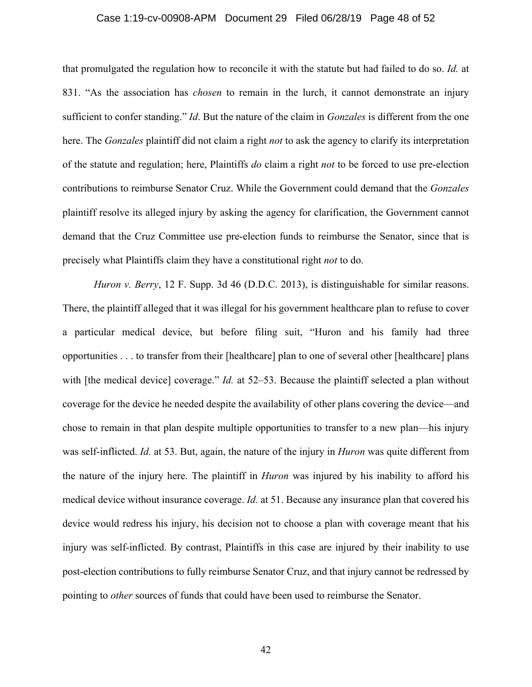#### Case 1:19-cv-00908-APM Document 29 Filed 06/28/19 Page 48 of 52

that promulgated the regulation how to reconcile it with the statute but had failed to do so. *Id.* at 831. "As the association has *chosen* to remain in the lurch, it cannot demonstrate an injury sufficient to confer standing." *Id*. But the nature of the claim in *Gonzales* is different from the one here. The *Gonzales* plaintiff did not claim a right *not* to ask the agency to clarify its interpretation of the statute and regulation; here, Plaintiffs *do* claim a right *not* to be forced to use pre-election contributions to reimburse Senator Cruz. While the Government could demand that the *Gonzales* plaintiff resolve its alleged injury by asking the agency for clarification, the Government cannot demand that the Cruz Committee use pre-election funds to reimburse the Senator, since that is precisely what Plaintiffs claim they have a constitutional right *not* to do.

*Huron v. Berry*, 12 F. Supp. 3d 46 (D.D.C. 2013), is distinguishable for similar reasons. There, the plaintiff alleged that it was illegal for his government healthcare plan to refuse to cover a particular medical device, but before filing suit, "Huron and his family had three opportunities . . . to transfer from their [healthcare] plan to one of several other [healthcare] plans with [the medical device] coverage." *Id.* at 52–53. Because the plaintiff selected a plan without coverage for the device he needed despite the availability of other plans covering the device—and chose to remain in that plan despite multiple opportunities to transfer to a new plan—his injury was self-inflicted. *Id.* at 53. But, again, the nature of the injury in *Huron* was quite different from the nature of the injury here. The plaintiff in *Huron* was injured by his inability to afford his medical device without insurance coverage. *Id.* at 51. Because any insurance plan that covered his device would redress his injury, his decision not to choose a plan with coverage meant that his injury was self-inflicted. By contrast, Plaintiffs in this case are injured by their inability to use post-election contributions to fully reimburse Senator Cruz, and that injury cannot be redressed by pointing to *other* sources of funds that could have been used to reimburse the Senator.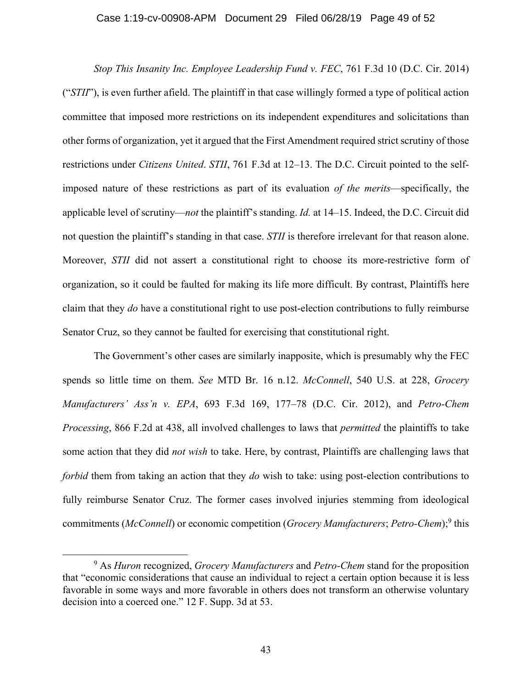#### Case 1:19-cv-00908-APM Document 29 Filed 06/28/19 Page 49 of 52

 *Stop This Insanity Inc. Employee Leadership Fund v. FEC*, 761 F.3d 10 (D.C. Cir. 2014) ("*STII*"), is even further afield. The plaintiff in that case willingly formed a type of political action committee that imposed more restrictions on its independent expenditures and solicitations than other forms of organization, yet it argued that the First Amendment required strict scrutiny of those restrictions under *Citizens United*. *STII*, 761 F.3d at 12–13. The D.C. Circuit pointed to the selfimposed nature of these restrictions as part of its evaluation *of the merits*—specifically, the applicable level of scrutiny—*not* the plaintiff's standing. *Id.* at 14–15. Indeed, the D.C. Circuit did not question the plaintiff's standing in that case. *STII* is therefore irrelevant for that reason alone. Moreover, *STII* did not assert a constitutional right to choose its more-restrictive form of organization, so it could be faulted for making its life more difficult. By contrast, Plaintiffs here claim that they *do* have a constitutional right to use post-election contributions to fully reimburse Senator Cruz, so they cannot be faulted for exercising that constitutional right.

 The Government's other cases are similarly inapposite, which is presumably why the FEC spends so little time on them. *See* MTD Br. 16 n.12. *McConnell*, 540 U.S. at 228, *Grocery Manufacturers' Ass'n v. EPA*, 693 F.3d 169, 177–78 (D.C. Cir. 2012), and *Petro-Chem Processing*, 866 F.2d at 438, all involved challenges to laws that *permitted* the plaintiffs to take some action that they did *not wish* to take. Here, by contrast, Plaintiffs are challenging laws that *forbid* them from taking an action that they *do* wish to take: using post-election contributions to fully reimburse Senator Cruz. The former cases involved injuries stemming from ideological commitments (*McConnell*) or economic competition (*Grocery Manufacturers*; *Petro-Chem*);<sup>9</sup> this

 <sup>9</sup> As *Huron* recognized, *Grocery Manufacturers* and *Petro-Chem* stand for the proposition that "economic considerations that cause an individual to reject a certain option because it is less favorable in some ways and more favorable in others does not transform an otherwise voluntary decision into a coerced one." 12 F. Supp. 3d at 53.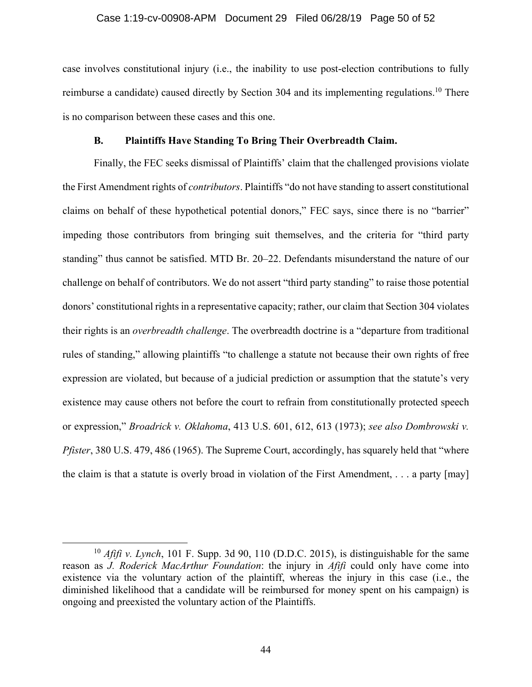#### Case 1:19-cv-00908-APM Document 29 Filed 06/28/19 Page 50 of 52

case involves constitutional injury (i.e., the inability to use post-election contributions to fully reimburse a candidate) caused directly by Section 304 and its implementing regulations.10 There is no comparison between these cases and this one.

## **B. Plaintiffs Have Standing To Bring Their Overbreadth Claim.**

Finally, the FEC seeks dismissal of Plaintiffs' claim that the challenged provisions violate the First Amendment rights of *contributors*. Plaintiffs "do not have standing to assert constitutional claims on behalf of these hypothetical potential donors," FEC says, since there is no "barrier" impeding those contributors from bringing suit themselves, and the criteria for "third party standing" thus cannot be satisfied. MTD Br. 20–22. Defendants misunderstand the nature of our challenge on behalf of contributors. We do not assert "third party standing" to raise those potential donors' constitutional rights in a representative capacity; rather, our claim that Section 304 violates their rights is an *overbreadth challenge*. The overbreadth doctrine is a "departure from traditional rules of standing," allowing plaintiffs "to challenge a statute not because their own rights of free expression are violated, but because of a judicial prediction or assumption that the statute's very existence may cause others not before the court to refrain from constitutionally protected speech or expression," *Broadrick v. Oklahoma*, 413 U.S. 601, 612, 613 (1973); *see also Dombrowski v. Pfister*, 380 U.S. 479, 486 (1965). The Supreme Court, accordingly, has squarely held that "where the claim is that a statute is overly broad in violation of the First Amendment, . . . a party [may]

44

 <sup>10</sup> *Afifi v. Lynch*, 101 F. Supp. 3d 90, 110 (D.D.C. 2015), is distinguishable for the same reason as *J. Roderick MacArthur Foundation*: the injury in *Afifi* could only have come into existence via the voluntary action of the plaintiff, whereas the injury in this case (i.e., the diminished likelihood that a candidate will be reimbursed for money spent on his campaign) is ongoing and preexisted the voluntary action of the Plaintiffs.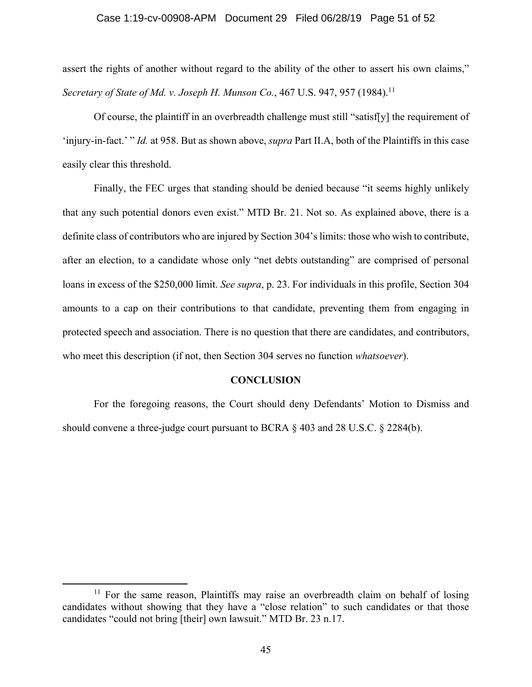## Case 1:19-cv-00908-APM Document 29 Filed 06/28/19 Page 51 of 52

assert the rights of another without regard to the ability of the other to assert his own claims," *Secretary of State of Md. v. Joseph H. Munson Co., 467 U.S. 947, 957 (1984).*<sup>11</sup>

Of course, the plaintiff in an overbreadth challenge must still "satisf[y] the requirement of 'injury-in-fact.' " *Id.* at 958. But as shown above, *supra* Part II.A, both of the Plaintiffs in this case easily clear this threshold.

Finally, the FEC urges that standing should be denied because "it seems highly unlikely that any such potential donors even exist." MTD Br. 21. Not so. As explained above, there is a definite class of contributors who are injured by Section 304's limits: those who wish to contribute, after an election, to a candidate whose only "net debts outstanding" are comprised of personal loans in excess of the \$250,000 limit. *See supra*, p. 23. For individuals in this profile, Section 304 amounts to a cap on their contributions to that candidate, preventing them from engaging in protected speech and association. There is no question that there are candidates, and contributors, who meet this description (if not, then Section 304 serves no function *whatsoever*).

#### **CONCLUSION**

For the foregoing reasons, the Court should deny Defendants' Motion to Dismiss and should convene a three-judge court pursuant to BCRA  $\S$  403 and 28 U.S.C.  $\S$  2284(b).

<sup>&</sup>lt;sup>11</sup> For the same reason, Plaintiffs may raise an overbreadth claim on behalf of losing candidates without showing that they have a "close relation" to such candidates or that those candidates "could not bring [their] own lawsuit." MTD Br. 23 n.17.